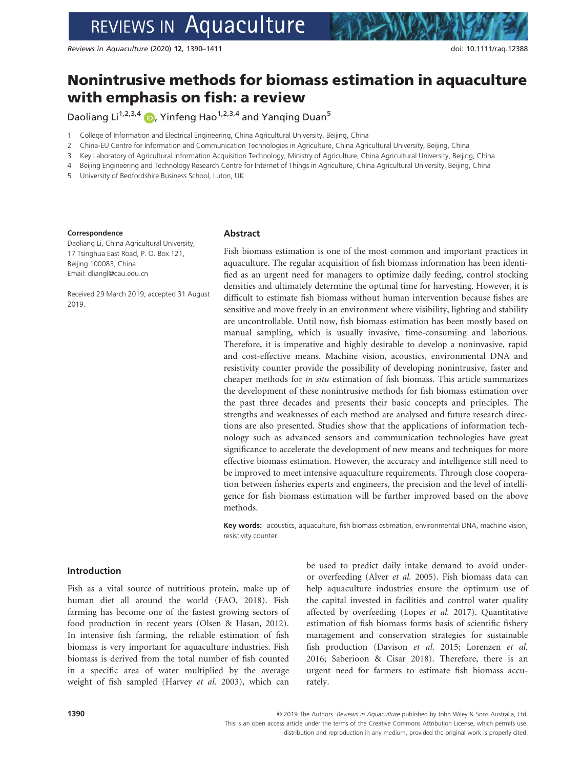# REVIEWS IN Aquaculture

Reviews in Aquaculture (2020) 12, 1390–1411 doi: 10.1111/raq.12388

# Nonintrusive methods for biomass estimation in aquaculture with emphasis on fish: a review

Daoliang Li<sup>1,2,3,4</sup>  $\bullet$ , Yinfeng Hao<sup>1,2,3,4</sup> and Yanging Duan<sup>5</sup>

- 1 College of Information and Electrical Engineering, China Agricultural University, Beijing, China
- 2 China-EU Centre for Information and Communication Technologies in Agriculture, China Agricultural University, Beijing, China
- 3 Key Laboratory of Agricultural Information Acquisition Technology, Ministry of Agriculture, China Agricultural University, Beijing, China
- 4 Beijing Engineering and Technology Research Centre for Internet of Things in Agriculture, China Agricultural University, Beijing, China
- 5 University of Bedfordshire Business School, Luton, UK

#### Correspondence

Daoliang Li, China Agricultural University, 17 Tsinghua East Road, P. O. Box 121, Beijing 100083, China. Email: [dliangl@cau.edu.cn](mailto:)

Received 29 March 2019; accepted 31 August 2019.

# Abstract

Fish biomass estimation is one of the most common and important practices in aquaculture. The regular acquisition of fish biomass information has been identified as an urgent need for managers to optimize daily feeding, control stocking densities and ultimately determine the optimal time for harvesting. However, it is difficult to estimate fish biomass without human intervention because fishes are sensitive and move freely in an environment where visibility, lighting and stability are uncontrollable. Until now, fish biomass estimation has been mostly based on manual sampling, which is usually invasive, time-consuming and laborious. Therefore, it is imperative and highly desirable to develop a noninvasive, rapid and cost-effective means. Machine vision, acoustics, environmental DNA and resistivity counter provide the possibility of developing nonintrusive, faster and cheaper methods for in situ estimation of fish biomass. This article summarizes the development of these nonintrusive methods for fish biomass estimation over the past three decades and presents their basic concepts and principles. The strengths and weaknesses of each method are analysed and future research directions are also presented. Studies show that the applications of information technology such as advanced sensors and communication technologies have great significance to accelerate the development of new means and techniques for more effective biomass estimation. However, the accuracy and intelligence still need to be improved to meet intensive aquaculture requirements. Through close cooperation between fisheries experts and engineers, the precision and the level of intelligence for fish biomass estimation will be further improved based on the above methods.

Key words: acoustics, aquaculture, fish biomass estimation, environmental DNA, machine vision, resistivity counter.

# Introduction

Fish as a vital source of nutritious protein, make up of human diet all around the world (FAO, 2018). Fish farming has become one of the fastest growing sectors of food production in recent years (Olsen & Hasan, 2012). In intensive fish farming, the reliable estimation of fish biomass is very important for aquaculture industries. Fish biomass is derived from the total number of fish counted in a specific area of water multiplied by the average weight of fish sampled (Harvey et al. 2003), which can be used to predict daily intake demand to avoid underor overfeeding (Alver et al. 2005). Fish biomass data can help aquaculture industries ensure the optimum use of the capital invested in facilities and control water quality affected by overfeeding (Lopes et al. 2017). Quantitative estimation of fish biomass forms basis of scientific fishery management and conservation strategies for sustainable fish production (Davison et al. 2015; Lorenzen et al. 2016; Saberioon & Cisar 2018). Therefore, there is an urgent need for farmers to estimate fish biomass accurately.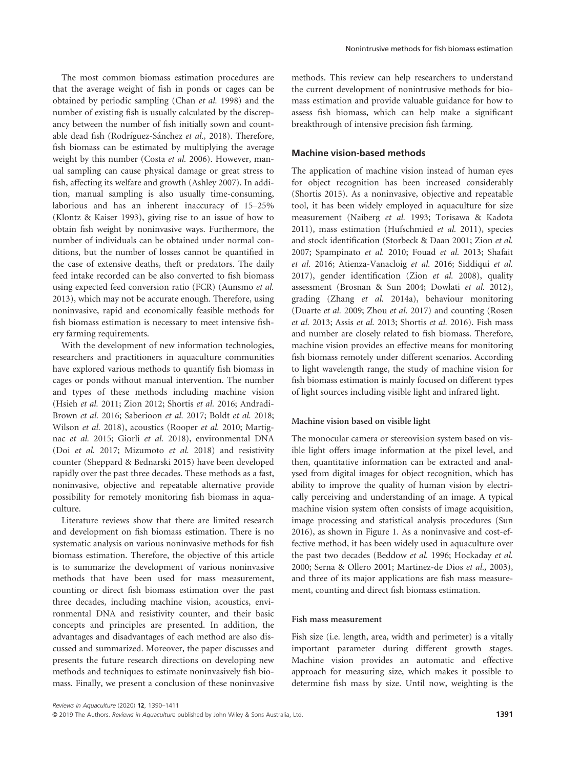The most common biomass estimation procedures are that the average weight of fish in ponds or cages can be obtained by periodic sampling (Chan et al. 1998) and the number of existing fish is usually calculated by the discrepancy between the number of fish initially sown and countable dead fish (Rodríguez-Sánchez et al., 2018). Therefore, fish biomass can be estimated by multiplying the average weight by this number (Costa et al. 2006). However, manual sampling can cause physical damage or great stress to fish, affecting its welfare and growth (Ashley 2007). In addition, manual sampling is also usually time-consuming, laborious and has an inherent inaccuracy of 15–25% (Klontz & Kaiser 1993), giving rise to an issue of how to obtain fish weight by noninvasive ways. Furthermore, the number of individuals can be obtained under normal conditions, but the number of losses cannot be quantified in the case of extensive deaths, theft or predators. The daily feed intake recorded can be also converted to fish biomass using expected feed conversion ratio (FCR) (Aunsmo et al. 2013), which may not be accurate enough. Therefore, using noninvasive, rapid and economically feasible methods for fish biomass estimation is necessary to meet intensive fishery farming requirements.

With the development of new information technologies, researchers and practitioners in aquaculture communities have explored various methods to quantify fish biomass in cages or ponds without manual intervention. The number and types of these methods including machine vision (Hsieh et al. 2011; Zion 2012; Shortis et al. 2016; Andradi-Brown et al. 2016; Saberioon et al. 2017; Boldt et al. 2018; Wilson et al. 2018), acoustics (Rooper et al. 2010; Martignac et al. 2015; Giorli et al. 2018), environmental DNA (Doi et al. 2017; Mizumoto et al. 2018) and resistivity counter (Sheppard & Bednarski 2015) have been developed rapidly over the past three decades. These methods as a fast, noninvasive, objective and repeatable alternative provide possibility for remotely monitoring fish biomass in aquaculture.

Literature reviews show that there are limited research and development on fish biomass estimation. There is no systematic analysis on various noninvasive methods for fish biomass estimation. Therefore, the objective of this article is to summarize the development of various noninvasive methods that have been used for mass measurement, counting or direct fish biomass estimation over the past three decades, including machine vision, acoustics, environmental DNA and resistivity counter, and their basic concepts and principles are presented. In addition, the advantages and disadvantages of each method are also discussed and summarized. Moreover, the paper discusses and presents the future research directions on developing new methods and techniques to estimate noninvasively fish biomass. Finally, we present a conclusion of these noninvasive

methods. This review can help researchers to understand the current development of nonintrusive methods for biomass estimation and provide valuable guidance for how to assess fish biomass, which can help make a significant breakthrough of intensive precision fish farming.

#### Machine vision-based methods

The application of machine vision instead of human eyes for object recognition has been increased considerably (Shortis 2015). As a noninvasive, objective and repeatable tool, it has been widely employed in aquaculture for size measurement (Naiberg et al. 1993; Torisawa & Kadota 2011), mass estimation (Hufschmied et al. 2011), species and stock identification (Storbeck & Daan 2001; Zion et al. 2007; Spampinato et al. 2010; Fouad et al. 2013; Shafait et al. 2016; Atienza-Vanacloig et al. 2016; Siddiqui et al. 2017), gender identification (Zion et al. 2008), quality assessment (Brosnan & Sun 2004; Dowlati et al. 2012), grading (Zhang et al. 2014a), behaviour monitoring (Duarte et al. 2009; Zhou et al. 2017) and counting (Rosen et al. 2013; Assis et al. 2013; Shortis et al. 2016). Fish mass and number are closely related to fish biomass. Therefore, machine vision provides an effective means for monitoring fish biomass remotely under different scenarios. According to light wavelength range, the study of machine vision for fish biomass estimation is mainly focused on different types of light sources including visible light and infrared light.

## Machine vision based on visible light

The monocular camera or stereovision system based on visible light offers image information at the pixel level, and then, quantitative information can be extracted and analysed from digital images for object recognition, which has ability to improve the quality of human vision by electrically perceiving and understanding of an image. A typical machine vision system often consists of image acquisition, image processing and statistical analysis procedures (Sun 2016), as shown in Figure 1. As a noninvasive and cost-effective method, it has been widely used in aquaculture over the past two decades (Beddow et al. 1996; Hockaday et al. 2000; Serna & Ollero 2001; Martinez-de Dios et al., 2003), and three of its major applications are fish mass measurement, counting and direct fish biomass estimation.

#### Fish mass measurement

Fish size (i.e. length, area, width and perimeter) is a vitally important parameter during different growth stages. Machine vision provides an automatic and effective approach for measuring size, which makes it possible to determine fish mass by size. Until now, weighting is the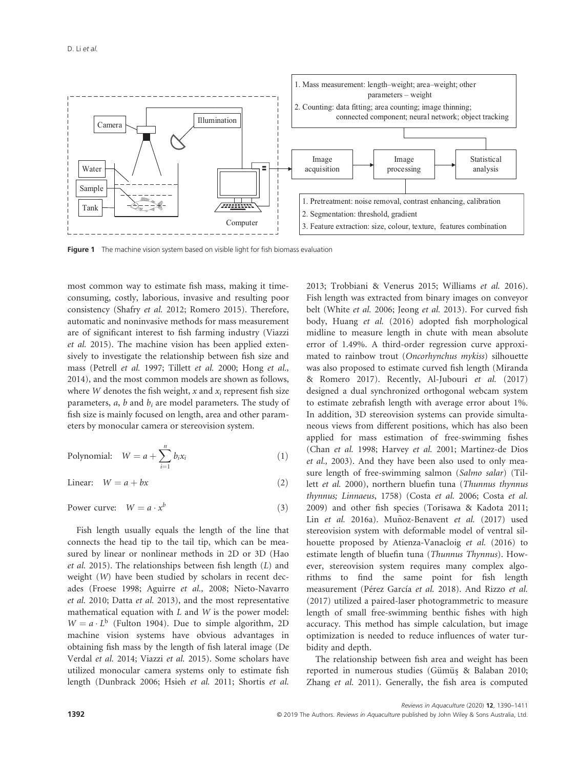

**Figure 1** The machine vision system based on visible light for fish biomass evaluation

most common way to estimate fish mass, making it timeconsuming, costly, laborious, invasive and resulting poor consistency (Shafry et al. 2012; Romero 2015). Therefore, automatic and noninvasive methods for mass measurement are of significant interest to fish farming industry (Viazzi et al. 2015). The machine vision has been applied extensively to investigate the relationship between fish size and mass (Petrell et al. 1997; Tillett et al. 2000; Hong et al., 2014), and the most common models are shown as follows, where W denotes the fish weight, x and  $x_i$  represent fish size parameters,  $a$ ,  $b$  and  $b$ <sub>i</sub> are model parameters. The study of fish size is mainly focused on length, area and other parameters by monocular camera or stereovision system.

Polynomial: 
$$
W = a + \sum_{i=1}^{n} b_i x_i
$$
 (1)

$$
Linear: \quad W = a + bx \tag{2}
$$

Power curve: 
$$
W = a \cdot x^b
$$
 (3)

Fish length usually equals the length of the line that connects the head tip to the tail tip, which can be measured by linear or nonlinear methods in 2D or 3D (Hao et al. 2015). The relationships between fish length  $(L)$  and weight (W) have been studied by scholars in recent decades (Froese 1998; Aguirre et al., 2008; Nieto-Navarro et al. 2010; Datta et al. 2013), and the most representative mathematical equation with  $L$  and  $W$  is the power model:  $W = a \cdot L^b$  (Fulton 1904). Due to simple algorithm, 2D machine vision systems have obvious advantages in obtaining fish mass by the length of fish lateral image (De Verdal et al. 2014; Viazzi et al. 2015). Some scholars have utilized monocular camera systems only to estimate fish length (Dunbrack 2006; Hsieh et al. 2011; Shortis et al.

2013; Trobbiani & Venerus 2015; Williams et al. 2016). Fish length was extracted from binary images on conveyor belt (White et al. 2006; Jeong et al. 2013). For curved fish body, Huang et al. (2016) adopted fish morphological midline to measure length in chute with mean absolute error of 1.49%. A third-order regression curve approximated to rainbow trout (Oncorhynchus mykiss) silhouette was also proposed to estimate curved fish length (Miranda & Romero 2017). Recently, Al-Jubouri et al. (2017) designed a dual synchronized orthogonal webcam system to estimate zebrafish length with average error about 1%. In addition, 3D stereovision systems can provide simultaneous views from different positions, which has also been applied for mass estimation of free-swimming fishes (Chan et al. 1998; Harvey et al. 2001; Martinez-de Dios et al., 2003). And they have been also used to only measure length of free-swimming salmon (Salmo salar) (Tillett et al. 2000), northern bluefin tuna (Thunnus thynnus thynnus; Linnaeus, 1758) (Costa et al. 2006; Costa et al. 2009) and other fish species (Torisawa & Kadota 2011; Lin et al. 2016a). Muñoz-Benavent et al. (2017) used stereovision system with deformable model of ventral silhouette proposed by Atienza-Vanacloig et al. (2016) to estimate length of bluefin tuna (Thunnus Thynnus). However, stereovision system requires many complex algorithms to find the same point for fish length measurement (Pérez García et al. 2018). And Rizzo et al. (2017) utilized a paired-laser photogrammetric to measure length of small free-swimming benthic fishes with high accuracy. This method has simple calculation, but image optimization is needed to reduce influences of water turbidity and depth.

The relationship between fish area and weight has been reported in numerous studies (Gümüş & Balaban 2010; Zhang et al. 2011). Generally, the fish area is computed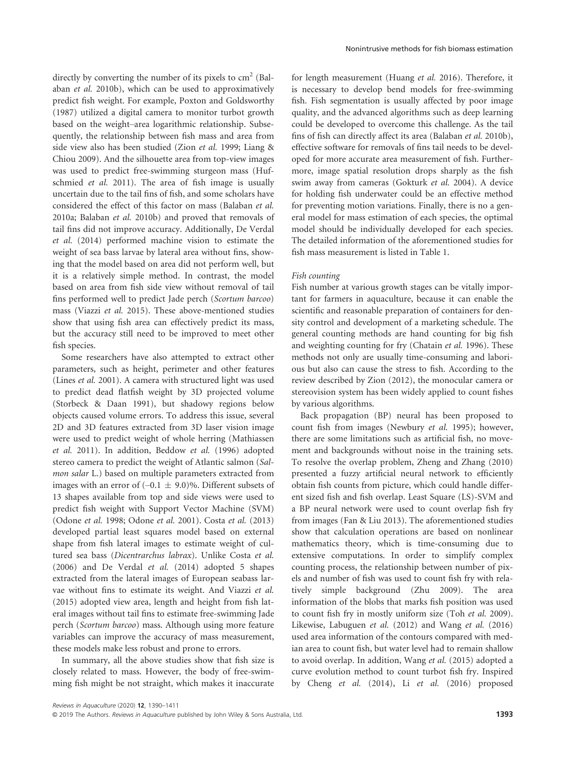directly by converting the number of its pixels to  $cm<sup>2</sup>$  (Balaban et al. 2010b), which can be used to approximatively predict fish weight. For example, Poxton and Goldsworthy (1987) utilized a digital camera to monitor turbot growth based on the weight–area logarithmic relationship. Subsequently, the relationship between fish mass and area from side view also has been studied (Zion et al. 1999; Liang & Chiou 2009). And the silhouette area from top-view images was used to predict free-swimming sturgeon mass (Hufschmied et al. 2011). The area of fish image is usually uncertain due to the tail fins of fish, and some scholars have considered the effect of this factor on mass (Balaban et al. 2010a; Balaban et al. 2010b) and proved that removals of tail fins did not improve accuracy. Additionally, De Verdal et al. (2014) performed machine vision to estimate the weight of sea bass larvae by lateral area without fins, showing that the model based on area did not perform well, but it is a relatively simple method. In contrast, the model based on area from fish side view without removal of tail fins performed well to predict Jade perch (Scortum barcoo) mass (Viazzi et al. 2015). These above-mentioned studies show that using fish area can effectively predict its mass, but the accuracy still need to be improved to meet other fish species.

Some researchers have also attempted to extract other parameters, such as height, perimeter and other features (Lines et al. 2001). A camera with structured light was used to predict dead flatfish weight by 3D projected volume (Storbeck & Daan 1991), but shadowy regions below objects caused volume errors. To address this issue, several 2D and 3D features extracted from 3D laser vision image were used to predict weight of whole herring (Mathiassen et al. 2011). In addition, Beddow et al. (1996) adopted stereo camera to predict the weight of Atlantic salmon (Salmon salar L.) based on multiple parameters extracted from images with an error of  $(-0.1 \pm 9.0)\%$ . Different subsets of 13 shapes available from top and side views were used to predict fish weight with Support Vector Machine (SVM) (Odone et al. 1998; Odone et al. 2001). Costa et al. (2013) developed partial least squares model based on external shape from fish lateral images to estimate weight of cultured sea bass (Dicentrarchus labrax). Unlike Costa et al. (2006) and De Verdal et al. (2014) adopted 5 shapes extracted from the lateral images of European seabass larvae without fins to estimate its weight. And Viazzi et al. (2015) adopted view area, length and height from fish lateral images without tail fins to estimate free-swimming Jade perch (Scortum barcoo) mass. Although using more feature variables can improve the accuracy of mass measurement, these models make less robust and prone to errors.

In summary, all the above studies show that fish size is closely related to mass. However, the body of free-swimming fish might be not straight, which makes it inaccurate

for length measurement (Huang et al. 2016). Therefore, it is necessary to develop bend models for free-swimming fish. Fish segmentation is usually affected by poor image quality, and the advanced algorithms such as deep learning could be developed to overcome this challenge. As the tail fins of fish can directly affect its area (Balaban et al. 2010b), effective software for removals of fins tail needs to be developed for more accurate area measurement of fish. Furthermore, image spatial resolution drops sharply as the fish swim away from cameras (Gokturk et al. 2004). A device for holding fish underwater could be an effective method for preventing motion variations. Finally, there is no a general model for mass estimation of each species, the optimal model should be individually developed for each species. The detailed information of the aforementioned studies for fish mass measurement is listed in Table 1.

#### Fish counting

Fish number at various growth stages can be vitally important for farmers in aquaculture, because it can enable the scientific and reasonable preparation of containers for density control and development of a marketing schedule. The general counting methods are hand counting for big fish and weighting counting for fry (Chatain et al. 1996). These methods not only are usually time-consuming and laborious but also can cause the stress to fish. According to the review described by Zion (2012), the monocular camera or stereovision system has been widely applied to count fishes by various algorithms.

Back propagation (BP) neural has been proposed to count fish from images (Newbury et al. 1995); however, there are some limitations such as artificial fish, no movement and backgrounds without noise in the training sets. To resolve the overlap problem, Zheng and Zhang (2010) presented a fuzzy artificial neural network to efficiently obtain fish counts from picture, which could handle different sized fish and fish overlap. Least Square (LS)-SVM and a BP neural network were used to count overlap fish fry from images (Fan & Liu 2013). The aforementioned studies show that calculation operations are based on nonlinear mathematics theory, which is time-consuming due to extensive computations. In order to simplify complex counting process, the relationship between number of pixels and number of fish was used to count fish fry with relatively simple background (Zhu 2009). The area information of the blobs that marks fish position was used to count fish fry in mostly uniform size (Toh et al. 2009). Likewise, Labuguen et al. (2012) and Wang et al. (2016) used area information of the contours compared with median area to count fish, but water level had to remain shallow to avoid overlap. In addition, Wang et al. (2015) adopted a curve evolution method to count turbot fish fry. Inspired by Cheng et al. (2014), Li et al. (2016) proposed

Reviews in Aquaculture (2020) <sup>12</sup>, 1390–1411

<sup>© 2019</sup> The Authors. Reviews in Aquaculture published by John Wiley & Sons Australia, Ltd. 1393 and 1393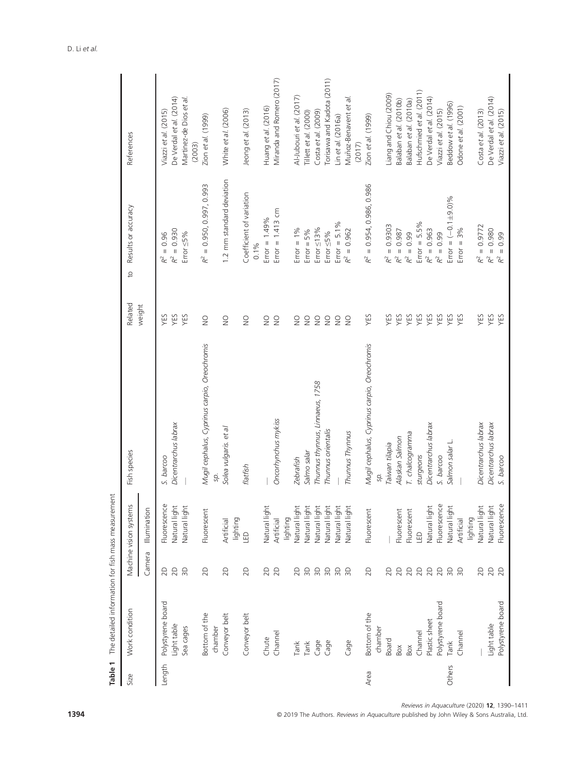| Size   | Work condition           |                                                                 | Machine vision systems | Fish species                                 | $\overline{c}$<br>Related | Results or accuracy                                                 | References                       |
|--------|--------------------------|-----------------------------------------------------------------|------------------------|----------------------------------------------|---------------------------|---------------------------------------------------------------------|----------------------------------|
|        |                          |                                                                 |                        |                                              |                           |                                                                     |                                  |
|        |                          | Camera                                                          | Illumination           |                                              | weight                    |                                                                     |                                  |
| Length | Polystyrene board        | 2D                                                              | Fluorescence           | S. barcoo                                    | YES                       | $= 0.96$<br>k,                                                      | Viazzi et al. (2015)             |
|        | Light table              | 2D                                                              | Natural light          | Dicentrarchus labrax                         | YES                       | $R^2 = 0.930$                                                       | De Verdal et al. (2014)          |
|        | Sea cages                | $\overline{3}$                                                  | <b>Natural light</b>   |                                              | YES                       | Error ≤5%                                                           | Martinez-de Dios et al<br>(2003) |
|        | Bottom of the<br>chamber | 2D                                                              | Fluorescent            | Mugil cephalus, Cyprinus carpio, Oreochromis | $\frac{1}{2}$             | $= 0.950, 0.997, 0.993$<br>$R^2$                                    | Zion et al. (1999)               |
|        | Conveyor belt            | 2D                                                              | lighting<br>Artificial | Solea vulgaris. et al                        | $\frac{1}{2}$             | 1.2 mm standard deviation                                           | White et al. (2006)              |
|        | Conveyor belt            | 20                                                              | $\Xi$                  | flatfish                                     | $\frac{0}{2}$             | Coefficient of variation<br>0.1%                                    | Jeong et al. (2013)              |
|        | Chute                    |                                                                 | Natural light          |                                              | $\frac{0}{2}$             | $Error = 1.49%$                                                     | Huang et al. (2016)              |
|        | Channel                  | $\begin{array}{c} 2D \\ 2D \end{array}$                         | Artificial             | Oncorhynchus mykiss                          | $\frac{1}{2}$             | Error = $1.413$ cm                                                  | Miranda and Romero (2017)        |
|        |                          |                                                                 | lighting               |                                              |                           |                                                                     |                                  |
|        | Tank                     | $\begin{array}{c} 2 \overline{1} \\ 3 \overline{1} \end{array}$ | Natural light          | Zebrafish                                    | $\frac{1}{2}$             | Error = $1\%$                                                       | Al-Jubouri et al. (2017)         |
|        | Tank                     |                                                                 | Natural light          | Salmo salar                                  | $\geq$                    | Error = $5\%$                                                       | Tillett et al. (2000)            |
|        | Cage                     | $\overline{5}$                                                  | Natural light          | Thunnus thynnus, Linnaeus, 1758              | $\frac{1}{2}$             | Error $\leq$ 13%                                                    | Costa et al. (2009)              |
|        | Cage                     |                                                                 | Natural light          | Thunnus orientalis                           | $\frac{1}{2}$             | Error ≤5%                                                           | Torisawa and Kadota (2011)       |
|        |                          |                                                                 | Natural light          |                                              | $\frac{1}{2}$             | $Error = 5.1%$                                                      | Lin et al. (2016a)               |
|        | Cage                     |                                                                 | Natural light          | Thunnus Thynnus                              | $\overline{2}$            | $R^2 = 0.962$                                                       | Muñoz-Benavent et al.<br>(2017)  |
| Area   | Bottom of the            | $\overline{C}$                                                  | Fluorescent            | Mugil cephalus, Cyprinus carpio, Oreochromis | YES                       | 0.954, 0.986, 0.986<br>$\mathop{\rm II}\nolimits$<br>$\mathsf{R}^2$ | Zion et al. (1999)               |
|        | chamber                  |                                                                 |                        | Sp.                                          |                           |                                                                     |                                  |
|        | Board                    |                                                                 |                        | Taiwan tilapia                               | YES                       | $= 0.9303$<br>$R^2$                                                 | Liang and Chiou (2009)           |
|        | Box                      | $2000000$                                                       | Fluorescent            | Alaskan Salmon                               | YES                       | $R^2 = 0.987$                                                       | Balaban et al. (2010b)           |
|        | Box                      |                                                                 | Fluorescent            | T. chalcogramma                              | YES                       | $R^2 = 0.99$                                                        | Balaban et al. (2010a)           |
|        | Channel                  |                                                                 | $\Xi$                  | sturgeons                                    | YES                       | Error = $5.5\%$                                                     | Hufschmied et al. (2011)         |
|        | Plastic sheet            | 2D                                                              | Natural light          | Dicentrarchus labrax                         | YES                       | $R^2 = 0.963$                                                       | De Verdal et al. (2014)          |
|        | Polystyrene board        |                                                                 | Fluorescence           | S. barcoo                                    | YES                       | $R^2 = 0.99$                                                        | Viazzi et al. (2015)             |
| Others | Tank                     | $2.38$                                                          | Natural light          | Salmon salar L.                              | YES                       | Error = $(-0.1 \pm 9.0)\%$                                          | Beddow et al. (1996)             |
|        | Channel                  |                                                                 | Artificial             |                                              | YES                       | $= 3%$<br>Error                                                     | Odone et al. (2001)              |
|        |                          |                                                                 | lighting               |                                              |                           |                                                                     |                                  |
|        |                          | 2D                                                              | Natural light          | Dicentrarchus labrax                         | YES                       | $R^2 = 0.9772$                                                      | Costa et al. (2013)              |
|        | Light table              | 2D                                                              | Natural light          | Dicentrarchus labrax                         | YES                       | $R^2 = 0.980$                                                       | De Verdal et al. (2014)          |
|        | Polystyrene board        | 2D                                                              | Fluorescence           | S. barcoo                                    | YES                       | 0.99<br>$\label{eq:1} \prod_{i=1}^n \mathbb{I}_i$<br>$R^2$          | Viazzi et al. (2015)             |
|        |                          |                                                                 |                        |                                              |                           |                                                                     |                                  |

Table 1 The detailed information for fish mass measurement

Table 1 The detailed information for fish mass measurement

Reviews in Aquaculture (2020) <sup>12</sup>, 1390–1411

**1394** C 2019 The Authors. Reviews in Aquaculture published by John Wiley & Sons Australia, Ltd.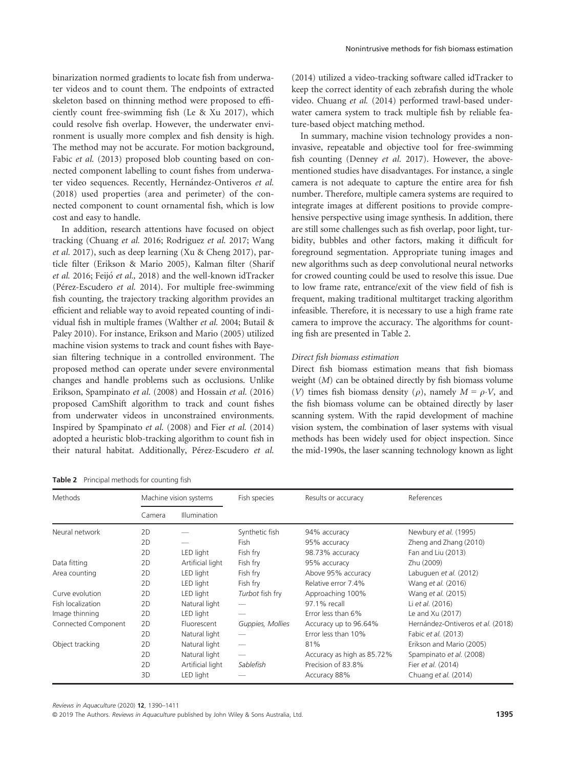binarization normed gradients to locate fish from underwater videos and to count them. The endpoints of extracted skeleton based on thinning method were proposed to efficiently count free-swimming fish (Le & Xu 2017), which could resolve fish overlap. However, the underwater environment is usually more complex and fish density is high. The method may not be accurate. For motion background, Fabic *et al.* (2013) proposed blob counting based on connected component labelling to count fishes from underwater video sequences. Recently, Hernández-Ontiveros et al. (2018) used properties (area and perimeter) of the connected component to count ornamental fish, which is low cost and easy to handle.

In addition, research attentions have focused on object tracking (Chuang et al. 2016; Rodriguez et al. 2017; Wang et al. 2017), such as deep learning (Xu & Cheng 2017), particle filter (Erikson & Mario 2005), Kalman filter (Sharif et al. 2016; Feijo et al., 2018) and the well-known idTracker (Pérez-Escudero et al. 2014). For multiple free-swimming fish counting, the trajectory tracking algorithm provides an efficient and reliable way to avoid repeated counting of individual fish in multiple frames (Walther et al. 2004; Butail & Paley 2010). For instance, Erikson and Mario (2005) utilized machine vision systems to track and count fishes with Bayesian filtering technique in a controlled environment. The proposed method can operate under severe environmental changes and handle problems such as occlusions. Unlike Erikson, Spampinato et al. (2008) and Hossain et al. (2016) proposed CamShift algorithm to track and count fishes from underwater videos in unconstrained environments. Inspired by Spampinato et al. (2008) and Fier et al. (2014) adopted a heuristic blob-tracking algorithm to count fish in their natural habitat. Additionally, Pérez-Escudero et al.

Table 2 Principal methods for counting fish

(2014) utilized a video-tracking software called idTracker to keep the correct identity of each zebrafish during the whole video. Chuang et al. (2014) performed trawl-based underwater camera system to track multiple fish by reliable feature-based object matching method.

In summary, machine vision technology provides a noninvasive, repeatable and objective tool for free-swimming fish counting (Denney et al. 2017). However, the abovementioned studies have disadvantages. For instance, a single camera is not adequate to capture the entire area for fish number. Therefore, multiple camera systems are required to integrate images at different positions to provide comprehensive perspective using image synthesis. In addition, there are still some challenges such as fish overlap, poor light, turbidity, bubbles and other factors, making it difficult for foreground segmentation. Appropriate tuning images and new algorithms such as deep convolutional neural networks for crowed counting could be used to resolve this issue. Due to low frame rate, entrance/exit of the view field of fish is frequent, making traditional multitarget tracking algorithm infeasible. Therefore, it is necessary to use a high frame rate camera to improve the accuracy. The algorithms for counting fish are presented in Table 2.

#### Direct fish biomass estimation

Direct fish biomass estimation means that fish biomass weight (M) can be obtained directly by fish biomass volume (*V*) times fish biomass density ( $\rho$ ), namely  $M = \rho \cdot V$ , and the fish biomass volume can be obtained directly by laser scanning system. With the rapid development of machine vision system, the combination of laser systems with visual methods has been widely used for object inspection. Since the mid-1990s, the laser scanning technology known as light

| <b>Methods</b>      |        | Machine vision systems | Fish species                                                                                                                                                                                                                                                                                                                                                                                  | Results or accuracy        | References                        |
|---------------------|--------|------------------------|-----------------------------------------------------------------------------------------------------------------------------------------------------------------------------------------------------------------------------------------------------------------------------------------------------------------------------------------------------------------------------------------------|----------------------------|-----------------------------------|
|                     | Camera | Illumination           |                                                                                                                                                                                                                                                                                                                                                                                               |                            |                                   |
| Neural network      | 2D     |                        | Synthetic fish                                                                                                                                                                                                                                                                                                                                                                                | 94% accuracy               | Newbury et al. (1995)             |
|                     | 2D     |                        | <b>Fish</b>                                                                                                                                                                                                                                                                                                                                                                                   | 95% accuracy               | Zheng and Zhang (2010)            |
|                     | 2D     | LED light              | Fish fry                                                                                                                                                                                                                                                                                                                                                                                      | 98.73% accuracy            | Fan and Liu (2013)                |
| Data fitting        | 2D     | Artificial light       | Fish fry                                                                                                                                                                                                                                                                                                                                                                                      | 95% accuracy               | Zhu (2009)                        |
| Area counting       | 2D     | LED light              | Fish fry                                                                                                                                                                                                                                                                                                                                                                                      | Above 95% accuracy         | Labuguen et al. (2012)            |
|                     | 2D     | LED light              | Fish fry                                                                                                                                                                                                                                                                                                                                                                                      | Relative error 7.4%        | Wang et al. (2016)                |
| Curve evolution     | 2D     | LED light              | Turbot fish fry                                                                                                                                                                                                                                                                                                                                                                               | Approaching 100%           | Wang et al. (2015)                |
| Fish localization   | 2D     | Natural light          | $\hspace{1.0cm} \overline{\hspace{1.0cm} \hspace{1.0cm} \hspace{1.0cm} } \hspace{1.0cm} \hspace{1.0cm} \overline{\hspace{1.0cm} \hspace{1.0cm} \hspace{1.0cm} } \hspace{1.0cm} \hspace{1.0cm} \overline{\hspace{1.0cm} \hspace{1.0cm} \hspace{1.0cm} } \hspace{1.0cm} \hspace{1.0cm} \overline{\hspace{1.0cm} \hspace{1.0cm} \hspace{1.0cm} } \hspace{1.0cm} \hspace{1.0cm} \hspace{1.0cm} }$ | 97.1% recall               | Li et al. (2016)                  |
| Image thinning      | 2D     | LED light              |                                                                                                                                                                                                                                                                                                                                                                                               | Error less than 6%         | Le and Xu (2017)                  |
| Connected Component | 2D     | Fluorescent            | Guppies, Mollies                                                                                                                                                                                                                                                                                                                                                                              | Accuracy up to 96.64%      | Hernández-Ontiveros et al. (2018) |
|                     | 2D     | Natural light          |                                                                                                                                                                                                                                                                                                                                                                                               | Error less than 10%        | Fabic et al. (2013)               |
| Object tracking     | 2D     | Natural light          |                                                                                                                                                                                                                                                                                                                                                                                               | 81%                        | Erikson and Mario (2005)          |
|                     | 2D     | Natural light          |                                                                                                                                                                                                                                                                                                                                                                                               | Accuracy as high as 85.72% | Spampinato et al. (2008)          |
|                     | 2D     | Artificial light       | Sablefish                                                                                                                                                                                                                                                                                                                                                                                     | Precision of 83.8%         | Fier et al. (2014)                |
|                     | 3D     | LED light              |                                                                                                                                                                                                                                                                                                                                                                                               | Accuracy 88%               | Chuang et al. (2014)              |

Reviews in Aquaculture (2020) <sup>12</sup>, 1390–1411 © 2019 The Authors. Reviews in Aquaculture published by John Wiley & Sons Australia, Ltd. 1395 and 1395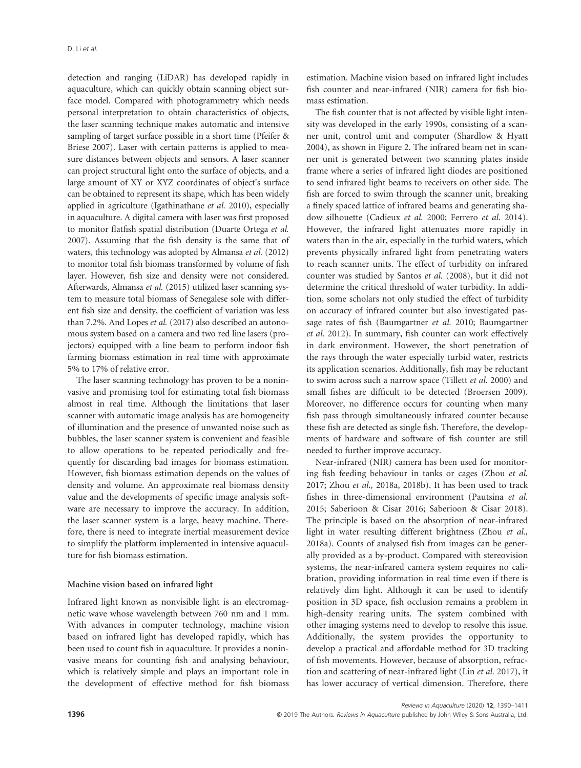detection and ranging (LiDAR) has developed rapidly in aquaculture, which can quickly obtain scanning object surface model. Compared with photogrammetry which needs personal interpretation to obtain characteristics of objects, the laser scanning technique makes automatic and intensive sampling of target surface possible in a short time (Pfeifer & Briese 2007). Laser with certain patterns is applied to measure distances between objects and sensors. A laser scanner can project structural light onto the surface of objects, and a large amount of XY or XYZ coordinates of object's surface can be obtained to represent its shape, which has been widely applied in agriculture (Igathinathane et al. 2010), especially in aquaculture. A digital camera with laser was first proposed to monitor flatfish spatial distribution (Duarte Ortega et al. 2007). Assuming that the fish density is the same that of waters, this technology was adopted by Almansa et al. (2012) to monitor total fish biomass transformed by volume of fish layer. However, fish size and density were not considered. Afterwards, Almansa et al. (2015) utilized laser scanning system to measure total biomass of Senegalese sole with different fish size and density, the coefficient of variation was less than 7.2%. And Lopes et al. (2017) also described an autonomous system based on a camera and two red line lasers (projectors) equipped with a line beam to perform indoor fish farming biomass estimation in real time with approximate 5% to 17% of relative error.

The laser scanning technology has proven to be a noninvasive and promising tool for estimating total fish biomass almost in real time. Although the limitations that laser scanner with automatic image analysis has are homogeneity of illumination and the presence of unwanted noise such as bubbles, the laser scanner system is convenient and feasible to allow operations to be repeated periodically and frequently for discarding bad images for biomass estimation. However, fish biomass estimation depends on the values of density and volume. An approximate real biomass density value and the developments of specific image analysis software are necessary to improve the accuracy. In addition, the laser scanner system is a large, heavy machine. Therefore, there is need to integrate inertial measurement device to simplify the platform implemented in intensive aquaculture for fish biomass estimation.

# Machine vision based on infrared light

Infrared light known as nonvisible light is an electromagnetic wave whose wavelength between 760 nm and 1 mm. With advances in computer technology, machine vision based on infrared light has developed rapidly, which has been used to count fish in aquaculture. It provides a noninvasive means for counting fish and analysing behaviour, which is relatively simple and plays an important role in the development of effective method for fish biomass

estimation. Machine vision based on infrared light includes fish counter and near-infrared (NIR) camera for fish biomass estimation.

The fish counter that is not affected by visible light intensity was developed in the early 1990s, consisting of a scanner unit, control unit and computer (Shardlow & Hyatt 2004), as shown in Figure 2. The infrared beam net in scanner unit is generated between two scanning plates inside frame where a series of infrared light diodes are positioned to send infrared light beams to receivers on other side. The fish are forced to swim through the scanner unit, breaking a finely spaced lattice of infrared beams and generating shadow silhouette (Cadieux et al. 2000; Ferrero et al. 2014). However, the infrared light attenuates more rapidly in waters than in the air, especially in the turbid waters, which prevents physically infrared light from penetrating waters to reach scanner units. The effect of turbidity on infrared counter was studied by Santos et al. (2008), but it did not determine the critical threshold of water turbidity. In addition, some scholars not only studied the effect of turbidity on accuracy of infrared counter but also investigated passage rates of fish (Baumgartner et al. 2010; Baumgartner et al. 2012). In summary, fish counter can work effectively in dark environment. However, the short penetration of the rays through the water especially turbid water, restricts its application scenarios. Additionally, fish may be reluctant to swim across such a narrow space (Tillett et al. 2000) and small fishes are difficult to be detected (Broersen 2009). Moreover, no difference occurs for counting when many fish pass through simultaneously infrared counter because these fish are detected as single fish. Therefore, the developments of hardware and software of fish counter are still needed to further improve accuracy.

Near-infrared (NIR) camera has been used for monitoring fish feeding behaviour in tanks or cages (Zhou et al. 2017; Zhou et al., 2018a, 2018b). It has been used to track fishes in three-dimensional environment (Pautsina et al. 2015; Saberioon & Cisar 2016; Saberioon & Cisar 2018). The principle is based on the absorption of near-infrared light in water resulting different brightness (Zhou et al., 2018a). Counts of analysed fish from images can be generally provided as a by-product. Compared with stereovision systems, the near-infrared camera system requires no calibration, providing information in real time even if there is relatively dim light. Although it can be used to identify position in 3D space, fish occlusion remains a problem in high-density rearing units. The system combined with other imaging systems need to develop to resolve this issue. Additionally, the system provides the opportunity to develop a practical and affordable method for 3D tracking of fish movements. However, because of absorption, refraction and scattering of near-infrared light (Lin et al. 2017), it has lower accuracy of vertical dimension. Therefore, there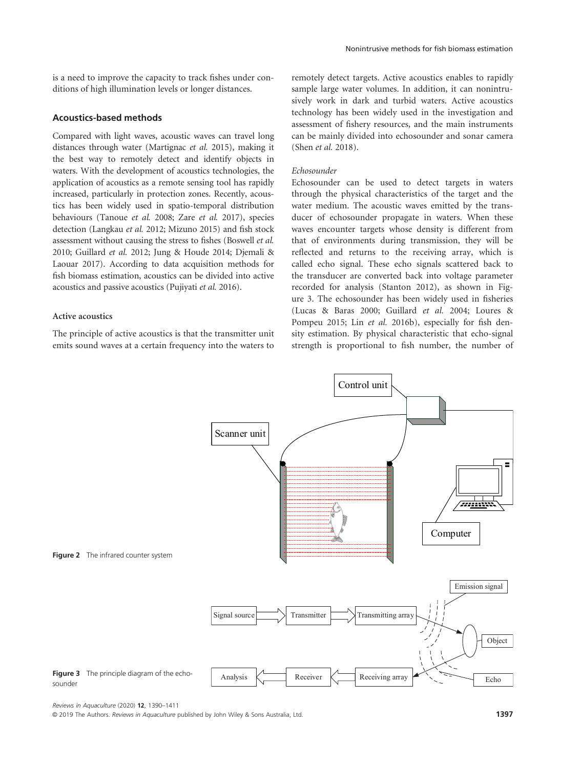is a need to improve the capacity to track fishes under conditions of high illumination levels or longer distances.

# Acoustics-based methods

Compared with light waves, acoustic waves can travel long distances through water (Martignac et al. 2015), making it the best way to remotely detect and identify objects in waters. With the development of acoustics technologies, the application of acoustics as a remote sensing tool has rapidly increased, particularly in protection zones. Recently, acoustics has been widely used in spatio-temporal distribution behaviours (Tanoue et al. 2008; Zare et al. 2017), species detection (Langkau et al. 2012; Mizuno 2015) and fish stock assessment without causing the stress to fishes (Boswell et al. 2010; Guillard et al. 2012; Jung & Houde 2014; Djemali & Laouar 2017). According to data acquisition methods for fish biomass estimation, acoustics can be divided into active acoustics and passive acoustics (Pujiyati et al. 2016).

# Active acoustics

The principle of active acoustics is that the transmitter unit emits sound waves at a certain frequency into the waters to

remotely detect targets. Active acoustics enables to rapidly sample large water volumes. In addition, it can nonintrusively work in dark and turbid waters. Active acoustics technology has been widely used in the investigation and assessment of fishery resources, and the main instruments can be mainly divided into echosounder and sonar camera (Shen et al. 2018).

#### Echosounder

Echosounder can be used to detect targets in waters through the physical characteristics of the target and the water medium. The acoustic waves emitted by the transducer of echosounder propagate in waters. When these waves encounter targets whose density is different from that of environments during transmission, they will be reflected and returns to the receiving array, which is called echo signal. These echo signals scattered back to the transducer are converted back into voltage parameter recorded for analysis (Stanton 2012), as shown in Figure 3. The echosounder has been widely used in fisheries (Lucas & Baras 2000; Guillard et al. 2004; Loures & Pompeu 2015; Lin et al. 2016b), especially for fish density estimation. By physical characteristic that echo-signal strength is proportional to fish number, the number of



Reviews in Aquaculture (2020) <sup>12</sup>, 1390–1411

© 2019 The Authors. Reviews in Aquaculture published by John Wiley & Sons Australia, Ltd. 1397 and 1397 and the Sons Australia, Ltd.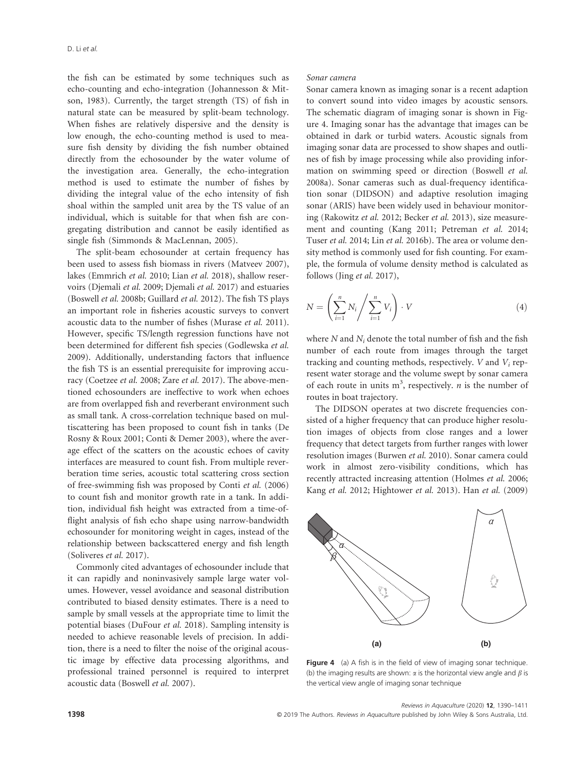the fish can be estimated by some techniques such as echo-counting and echo-integration (Johannesson & Mitson, 1983). Currently, the target strength (TS) of fish in natural state can be measured by split-beam technology. When fishes are relatively dispersive and the density is low enough, the echo-counting method is used to measure fish density by dividing the fish number obtained directly from the echosounder by the water volume of the investigation area. Generally, the echo-integration method is used to estimate the number of fishes by dividing the integral value of the echo intensity of fish shoal within the sampled unit area by the TS value of an individual, which is suitable for that when fish are congregating distribution and cannot be easily identified as single fish (Simmonds & MacLennan, 2005).

The split-beam echosounder at certain frequency has been used to assess fish biomass in rivers (Matveev 2007), lakes (Emmrich et al. 2010; Lian et al. 2018), shallow reservoirs (Djemali et al. 2009; Djemali et al. 2017) and estuaries (Boswell et al. 2008b; Guillard et al. 2012). The fish TS plays an important role in fisheries acoustic surveys to convert acoustic data to the number of fishes (Murase et al. 2011). However, specific TS/length regression functions have not been determined for different fish species (Godlewska et al. 2009). Additionally, understanding factors that influence the fish TS is an essential prerequisite for improving accuracy (Coetzee et al. 2008; Zare et al. 2017). The above-mentioned echosounders are ineffective to work when echoes are from overlapped fish and reverberant environment such as small tank. A cross-correlation technique based on multiscattering has been proposed to count fish in tanks (De Rosny & Roux 2001; Conti & Demer 2003), where the average effect of the scatters on the acoustic echoes of cavity interfaces are measured to count fish. From multiple reverberation time series, acoustic total scattering cross section of free-swimming fish was proposed by Conti et al. (2006) to count fish and monitor growth rate in a tank. In addition, individual fish height was extracted from a time-offlight analysis of fish echo shape using narrow-bandwidth echosounder for monitoring weight in cages, instead of the relationship between backscattered energy and fish length (Soliveres et al. 2017).

Commonly cited advantages of echosounder include that it can rapidly and noninvasively sample large water volumes. However, vessel avoidance and seasonal distribution contributed to biased density estimates. There is a need to sample by small vessels at the appropriate time to limit the potential biases (DuFour et al. 2018). Sampling intensity is needed to achieve reasonable levels of precision. In addition, there is a need to filter the noise of the original acoustic image by effective data processing algorithms, and professional trained personnel is required to interpret acoustic data (Boswell et al. 2007).

#### Sonar camera

Sonar camera known as imaging sonar is a recent adaption to convert sound into video images by acoustic sensors. The schematic diagram of imaging sonar is shown in Figure 4. Imaging sonar has the advantage that images can be obtained in dark or turbid waters. Acoustic signals from imaging sonar data are processed to show shapes and outlines of fish by image processing while also providing information on swimming speed or direction (Boswell et al. 2008a). Sonar cameras such as dual-frequency identification sonar (DIDSON) and adaptive resolution imaging sonar (ARIS) have been widely used in behaviour monitoring (Rakowitz et al. 2012; Becker et al. 2013), size measurement and counting (Kang 2011; Petreman et al. 2014; Tuser et al. 2014; Lin et al. 2016b). The area or volume density method is commonly used for fish counting. For example, the formula of volume density method is calculated as follows (Jing et al. 2017),

$$
N = \left(\sum_{i=1}^{n} N_i / \sum_{i=1}^{n} V_i\right) \cdot V \tag{4}
$$

where  $N$  and  $N_i$  denote the total number of fish and the fish number of each route from images through the target tracking and counting methods, respectively.  $V$  and  $V_i$  represent water storage and the volume swept by sonar camera of each route in units  $m^3$ , respectively. *n* is the number of routes in boat trajectory.

The DIDSON operates at two discrete frequencies consisted of a higher frequency that can produce higher resolution images of objects from close ranges and a lower frequency that detect targets from further ranges with lower resolution images (Burwen et al. 2010). Sonar camera could work in almost zero-visibility conditions, which has recently attracted increasing attention (Holmes et al. 2006; Kang et al. 2012; Hightower et al. 2013). Han et al. (2009)



Figure 4 (a) A fish is in the field of view of imaging sonar technique. (b) the imaging results are shown:  $\alpha$  is the horizontal view angle and  $\beta$  is the vertical view angle of imaging sonar technique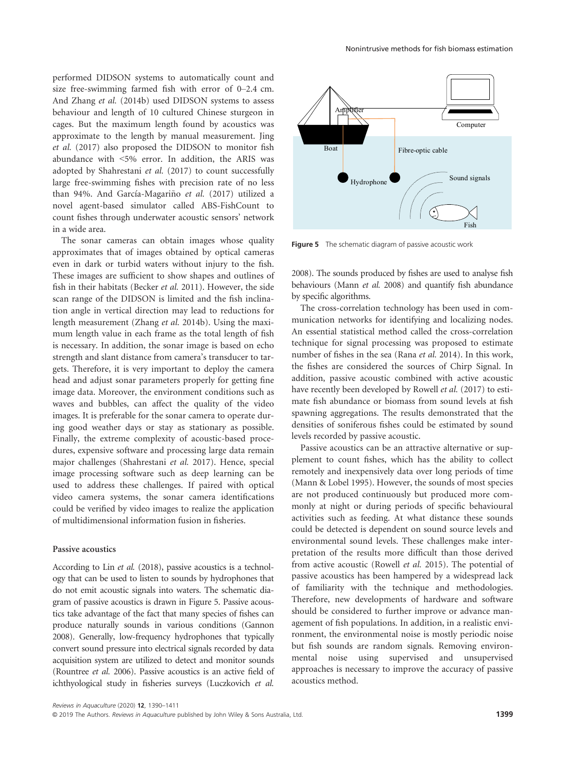performed DIDSON systems to automatically count and size free-swimming farmed fish with error of 0–2.4 cm. And Zhang et al. (2014b) used DIDSON systems to assess behaviour and length of 10 cultured Chinese sturgeon in cages. But the maximum length found by acoustics was approximate to the length by manual measurement. Jing et al. (2017) also proposed the DIDSON to monitor fish abundance with <5% error. In addition, the ARIS was adopted by Shahrestani et al. (2017) to count successfully large free-swimming fishes with precision rate of no less than 94%. And García-Magariño et al. (2017) utilized a novel agent-based simulator called ABS-FishCount to count fishes through underwater acoustic sensors' network in a wide area.

The sonar cameras can obtain images whose quality approximates that of images obtained by optical cameras even in dark or turbid waters without injury to the fish. These images are sufficient to show shapes and outlines of fish in their habitats (Becker et al. 2011). However, the side scan range of the DIDSON is limited and the fish inclination angle in vertical direction may lead to reductions for length measurement (Zhang et al. 2014b). Using the maximum length value in each frame as the total length of fish is necessary. In addition, the sonar image is based on echo strength and slant distance from camera's transducer to targets. Therefore, it is very important to deploy the camera head and adjust sonar parameters properly for getting fine image data. Moreover, the environment conditions such as waves and bubbles, can affect the quality of the video images. It is preferable for the sonar camera to operate during good weather days or stay as stationary as possible. Finally, the extreme complexity of acoustic-based procedures, expensive software and processing large data remain major challenges (Shahrestani et al. 2017). Hence, special image processing software such as deep learning can be used to address these challenges. If paired with optical video camera systems, the sonar camera identifications could be verified by video images to realize the application of multidimensional information fusion in fisheries.

#### Passive acoustics

According to Lin et al. (2018), passive acoustics is a technology that can be used to listen to sounds by hydrophones that do not emit acoustic signals into waters. The schematic diagram of passive acoustics is drawn in Figure 5. Passive acoustics take advantage of the fact that many species of fishes can produce naturally sounds in various conditions (Gannon 2008). Generally, low-frequency hydrophones that typically convert sound pressure into electrical signals recorded by data acquisition system are utilized to detect and monitor sounds (Rountree et al. 2006). Passive acoustics is an active field of ichthyological study in fisheries surveys (Luczkovich et al.

Nonintrusive methods for fish biomass estimation

**Figure 5** The schematic diagram of passive acoustic work

Boat Fibre-optic cable

Hydrophone

2008). The sounds produced by fishes are used to analyse fish behaviours (Mann et al. 2008) and quantify fish abundance by specific algorithms.

Fish

Sound signals

The cross-correlation technology has been used in communication networks for identifying and localizing nodes. An essential statistical method called the cross-correlation technique for signal processing was proposed to estimate number of fishes in the sea (Rana et al. 2014). In this work, the fishes are considered the sources of Chirp Signal. In addition, passive acoustic combined with active acoustic have recently been developed by Rowell et al. (2017) to estimate fish abundance or biomass from sound levels at fish spawning aggregations. The results demonstrated that the densities of soniferous fishes could be estimated by sound levels recorded by passive acoustic.

Passive acoustics can be an attractive alternative or supplement to count fishes, which has the ability to collect remotely and inexpensively data over long periods of time (Mann & Lobel 1995). However, the sounds of most species are not produced continuously but produced more commonly at night or during periods of specific behavioural activities such as feeding. At what distance these sounds could be detected is dependent on sound source levels and environmental sound levels. These challenges make interpretation of the results more difficult than those derived from active acoustic (Rowell et al. 2015). The potential of passive acoustics has been hampered by a widespread lack of familiarity with the technique and methodologies. Therefore, new developments of hardware and software should be considered to further improve or advance management of fish populations. In addition, in a realistic environment, the environmental noise is mostly periodic noise but fish sounds are random signals. Removing environmental noise using supervised and unsupervised approaches is necessary to improve the accuracy of passive acoustics method.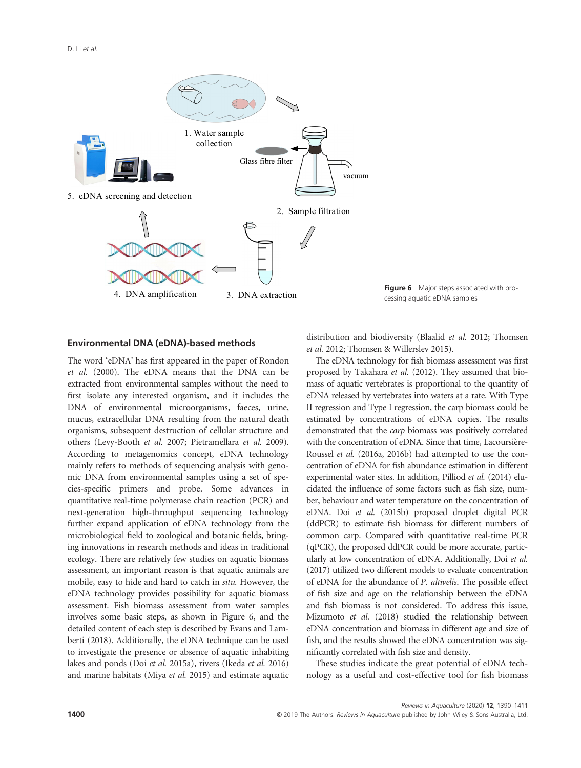

Figure 6 Major steps associated with processing aquatic eDNA samples

#### Environmental DNA (eDNA)-based methods

The word 'eDNA' has first appeared in the paper of Rondon et al. (2000). The eDNA means that the DNA can be extracted from environmental samples without the need to first isolate any interested organism, and it includes the DNA of environmental microorganisms, faeces, urine, mucus, extracellular DNA resulting from the natural death organisms, subsequent destruction of cellular structure and others (Levy-Booth et al. 2007; Pietramellara et al. 2009). According to metagenomics concept, eDNA technology mainly refers to methods of sequencing analysis with genomic DNA from environmental samples using a set of species-specific primers and probe. Some advances in quantitative real-time polymerase chain reaction (PCR) and next-generation high-throughput sequencing technology further expand application of eDNA technology from the microbiological field to zoological and botanic fields, bringing innovations in research methods and ideas in traditional ecology. There are relatively few studies on aquatic biomass assessment, an important reason is that aquatic animals are mobile, easy to hide and hard to catch in situ. However, the eDNA technology provides possibility for aquatic biomass assessment. Fish biomass assessment from water samples involves some basic steps, as shown in Figure 6, and the detailed content of each step is described by Evans and Lamberti (2018). Additionally, the eDNA technique can be used to investigate the presence or absence of aquatic inhabiting lakes and ponds (Doi et al. 2015a), rivers (Ikeda et al. 2016) and marine habitats (Miya et al. 2015) and estimate aquatic

distribution and biodiversity (Blaalid et al. 2012; Thomsen et al. 2012; Thomsen & Willerslev 2015).

The eDNA technology for fish biomass assessment was first proposed by Takahara et al. (2012). They assumed that biomass of aquatic vertebrates is proportional to the quantity of eDNA released by vertebrates into waters at a rate. With Type II regression and Type I regression, the carp biomass could be estimated by concentrations of eDNA copies. The results demonstrated that the carp biomass was positively correlated with the concentration of eDNA. Since that time, Lacoursière-Roussel et al. (2016a, 2016b) had attempted to use the concentration of eDNA for fish abundance estimation in different experimental water sites. In addition, Pilliod et al. (2014) elucidated the influence of some factors such as fish size, number, behaviour and water temperature on the concentration of eDNA. Doi et al. (2015b) proposed droplet digital PCR (ddPCR) to estimate fish biomass for different numbers of common carp. Compared with quantitative real-time PCR (qPCR), the proposed ddPCR could be more accurate, particularly at low concentration of eDNA. Additionally, Doi et al. (2017) utilized two different models to evaluate concentration of eDNA for the abundance of P. altivelis. The possible effect of fish size and age on the relationship between the eDNA and fish biomass is not considered. To address this issue, Mizumoto et al. (2018) studied the relationship between eDNA concentration and biomass in different age and size of fish, and the results showed the eDNA concentration was significantly correlated with fish size and density.

These studies indicate the great potential of eDNA technology as a useful and cost-effective tool for fish biomass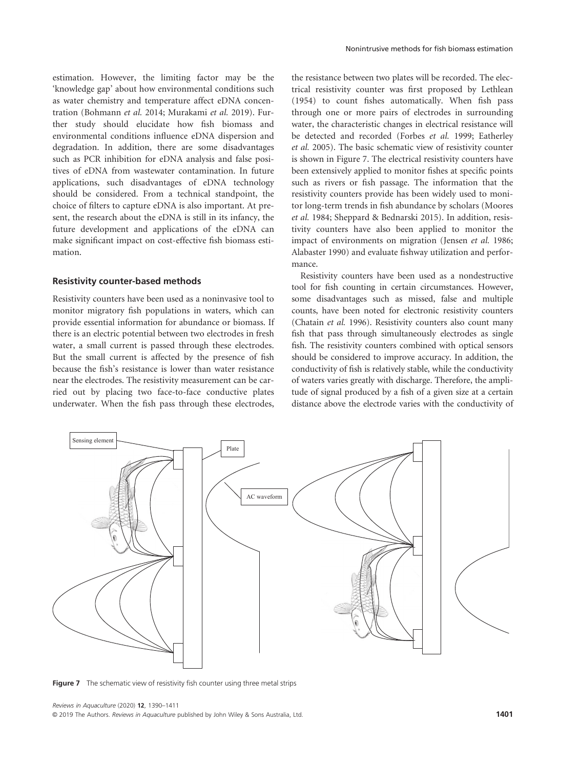estimation. However, the limiting factor may be the 'knowledge gap' about how environmental conditions such as water chemistry and temperature affect eDNA concentration (Bohmann et al. 2014; Murakami et al. 2019). Further study should elucidate how fish biomass and environmental conditions influence eDNA dispersion and degradation. In addition, there are some disadvantages such as PCR inhibition for eDNA analysis and false positives of eDNA from wastewater contamination. In future applications, such disadvantages of eDNA technology should be considered. From a technical standpoint, the choice of filters to capture eDNA is also important. At present, the research about the eDNA is still in its infancy, the future development and applications of the eDNA can make significant impact on cost-effective fish biomass estimation.

## Resistivity counter-based methods

Resistivity counters have been used as a noninvasive tool to monitor migratory fish populations in waters, which can provide essential information for abundance or biomass. If there is an electric potential between two electrodes in fresh water, a small current is passed through these electrodes. But the small current is affected by the presence of fish because the fish's resistance is lower than water resistance near the electrodes. The resistivity measurement can be carried out by placing two face-to-face conductive plates underwater. When the fish pass through these electrodes,

the resistance between two plates will be recorded. The electrical resistivity counter was first proposed by Lethlean (1954) to count fishes automatically. When fish pass through one or more pairs of electrodes in surrounding water, the characteristic changes in electrical resistance will be detected and recorded (Forbes et al. 1999; Eatherley et al. 2005). The basic schematic view of resistivity counter is shown in Figure 7. The electrical resistivity counters have been extensively applied to monitor fishes at specific points such as rivers or fish passage. The information that the resistivity counters provide has been widely used to monitor long-term trends in fish abundance by scholars (Moores et al. 1984; Sheppard & Bednarski 2015). In addition, resistivity counters have also been applied to monitor the impact of environments on migration (Jensen et al. 1986; Alabaster 1990) and evaluate fishway utilization and performance.

Resistivity counters have been used as a nondestructive tool for fish counting in certain circumstances. However, some disadvantages such as missed, false and multiple counts, have been noted for electronic resistivity counters (Chatain et al. 1996). Resistivity counters also count many fish that pass through simultaneously electrodes as single fish. The resistivity counters combined with optical sensors should be considered to improve accuracy. In addition, the conductivity of fish is relatively stable, while the conductivity of waters varies greatly with discharge. Therefore, the amplitude of signal produced by a fish of a given size at a certain distance above the electrode varies with the conductivity of



**Figure 7** The schematic view of resistivity fish counter using three metal strips

Reviews in Aquaculture (2020) <sup>12</sup>, 1390–1411 © 2019 The Authors. Reviews in Aquaculture published by John Wiley & Sons Australia, Ltd. 1401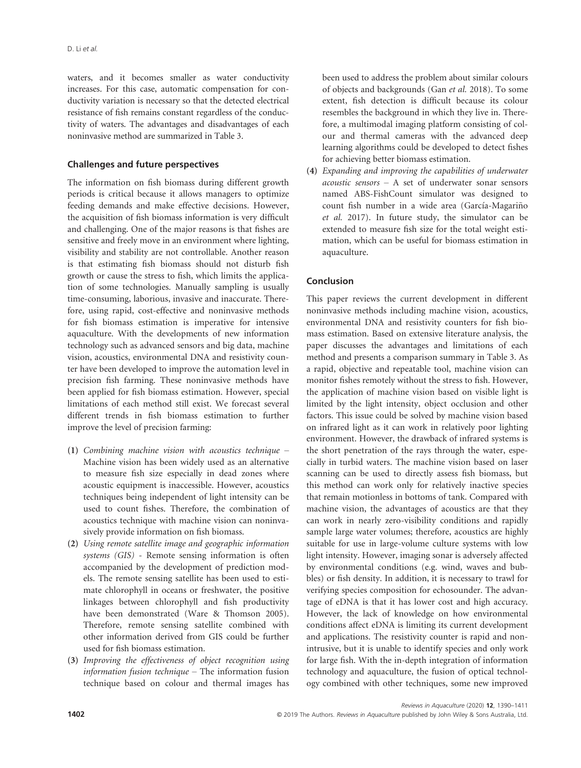waters, and it becomes smaller as water conductivity increases. For this case, automatic compensation for conductivity variation is necessary so that the detected electrical resistance of fish remains constant regardless of the conductivity of waters. The advantages and disadvantages of each noninvasive method are summarized in Table 3.

# Challenges and future perspectives

The information on fish biomass during different growth periods is critical because it allows managers to optimize feeding demands and make effective decisions. However, the acquisition of fish biomass information is very difficult and challenging. One of the major reasons is that fishes are sensitive and freely move in an environment where lighting, visibility and stability are not controllable. Another reason is that estimating fish biomass should not disturb fish growth or cause the stress to fish, which limits the application of some technologies. Manually sampling is usually time-consuming, laborious, invasive and inaccurate. Therefore, using rapid, cost-effective and noninvasive methods for fish biomass estimation is imperative for intensive aquaculture. With the developments of new information technology such as advanced sensors and big data, machine vision, acoustics, environmental DNA and resistivity counter have been developed to improve the automation level in precision fish farming. These noninvasive methods have been applied for fish biomass estimation. However, special limitations of each method still exist. We forecast several different trends in fish biomass estimation to further improve the level of precision farming:

- (1) Combining machine vision with acoustics technique Machine vision has been widely used as an alternative to measure fish size especially in dead zones where acoustic equipment is inaccessible. However, acoustics techniques being independent of light intensity can be used to count fishes. Therefore, the combination of acoustics technique with machine vision can noninvasively provide information on fish biomass.
- (2) Using remote satellite image and geographic information systems (GIS) - Remote sensing information is often accompanied by the development of prediction models. The remote sensing satellite has been used to estimate chlorophyll in oceans or freshwater, the positive linkages between chlorophyll and fish productivity have been demonstrated (Ware & Thomson 2005). Therefore, remote sensing satellite combined with other information derived from GIS could be further used for fish biomass estimation.
- (3) Improving the effectiveness of object recognition using information fusion technique – The information fusion technique based on colour and thermal images has

been used to address the problem about similar colours of objects and backgrounds (Gan et al. 2018). To some extent, fish detection is difficult because its colour resembles the background in which they live in. Therefore, a multimodal imaging platform consisting of colour and thermal cameras with the advanced deep learning algorithms could be developed to detect fishes for achieving better biomass estimation.

(4) Expanding and improving the capabilities of underwater acoustic sensors – A set of underwater sonar sensors named ABS-FishCount simulator was designed to count fish number in a wide area (García-Magariño et al. 2017). In future study, the simulator can be extended to measure fish size for the total weight estimation, which can be useful for biomass estimation in aquaculture.

#### Conclusion

This paper reviews the current development in different noninvasive methods including machine vision, acoustics, environmental DNA and resistivity counters for fish biomass estimation. Based on extensive literature analysis, the paper discusses the advantages and limitations of each method and presents a comparison summary in Table 3. As a rapid, objective and repeatable tool, machine vision can monitor fishes remotely without the stress to fish. However, the application of machine vision based on visible light is limited by the light intensity, object occlusion and other factors. This issue could be solved by machine vision based on infrared light as it can work in relatively poor lighting environment. However, the drawback of infrared systems is the short penetration of the rays through the water, especially in turbid waters. The machine vision based on laser scanning can be used to directly assess fish biomass, but this method can work only for relatively inactive species that remain motionless in bottoms of tank. Compared with machine vision, the advantages of acoustics are that they can work in nearly zero-visibility conditions and rapidly sample large water volumes; therefore, acoustics are highly suitable for use in large-volume culture systems with low light intensity. However, imaging sonar is adversely affected by environmental conditions (e.g. wind, waves and bubbles) or fish density. In addition, it is necessary to trawl for verifying species composition for echosounder. The advantage of eDNA is that it has lower cost and high accuracy. However, the lack of knowledge on how environmental conditions affect eDNA is limiting its current development and applications. The resistivity counter is rapid and nonintrusive, but it is unable to identify species and only work for large fish. With the in-depth integration of information technology and aquaculture, the fusion of optical technology combined with other techniques, some new improved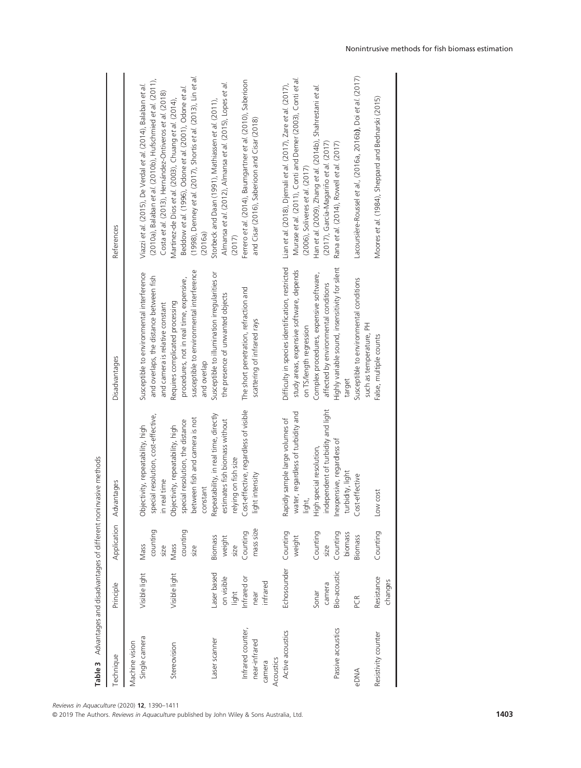| Table 3                                                   |                                    |                                        | Advantages and disadvantages of different noninvasive methods                                                                                     |                                                                                                                                                                                                            |                                                                                                                                                                                                                                                                         |
|-----------------------------------------------------------|------------------------------------|----------------------------------------|---------------------------------------------------------------------------------------------------------------------------------------------------|------------------------------------------------------------------------------------------------------------------------------------------------------------------------------------------------------------|-------------------------------------------------------------------------------------------------------------------------------------------------------------------------------------------------------------------------------------------------------------------------|
| Technique                                                 | Principle                          | Application                            | Advantages                                                                                                                                        | Disadvantages                                                                                                                                                                                              | References                                                                                                                                                                                                                                                              |
| Single camera<br>Machine vision                           | Visible light                      | counting<br>Nass<br>size               | special resolution, cost-effective,<br>in real time<br>Objectivity, repeatability, high                                                           | Susceptible to environmental interference<br>and overlaps, the distance between fish<br>and camera is relative constant                                                                                    | (2010a), Balaban et al. (2010b), Hufschmied et al. (2011),<br>Viazzi et al. (2015), De Verdal et al. (2014), Balaban et al.<br>Costa et al. (2013), Hernández-Ontiveros et al. (2018)                                                                                   |
| Stereovision                                              | Visible light                      | counting<br>Nass<br>$siz$ e            | between fish and camera is not<br>special resolution, the distance<br>Objectivity, repeatability, high<br>constant                                | susceptible to environmental interference<br>procedures, not in real time, expensive,<br>Requires complicated processing<br>and overlap                                                                    | (1998), Denney et al. (2017), Shortis et al. (2013), Lin et al.<br>Beddow et al. (1996), Odone et al. (2001), Odone et al.<br>Martinez-de Dios et al. (2003), Chuang et al. (2014),<br>(2016a)                                                                          |
| Laser scanner                                             | Laser based<br>on visible<br>light | Biomass<br>weight<br>size              | Repeatability, in real time, directly<br>estimates fish biomass without<br>relying on fish size                                                   | Susceptible to illumination irregularities or<br>the presence of unwanted objects                                                                                                                          | Almansa et al. (2012), Almansa et al. (2015), Lopes et al.<br>Storbeck and Daan (1991), Mathiassen et al. (2011),<br>(2017)                                                                                                                                             |
| Infrared counter,<br>near-infrared<br>Acoustics<br>camera | Infrared or<br>infrared<br>near    | mass size<br>Counting                  | Cost-effective, regardless of visible<br>light intensity                                                                                          | The short penetration, refraction and<br>scattering of infrared rays                                                                                                                                       | Ferrero et al. (2014), Baumgartner et al. (2010), Saberioon<br>and Cisar (2016), Saberioon and Cisar (2018)                                                                                                                                                             |
| Active acoustics                                          | Echosounder<br>camera<br>Sonar     | Counting<br>Counting<br>weight<br>size | High special resolution,<br>independent of turbidity and light<br>water, regardless of turbidity and<br>Rapidly sample large volumes of<br>light, | Difficulty in species identification, restricted<br>study areas, expensive software, depends<br>Complex procedures, expensive software,<br>affected by environmental conditions<br>on TS/length regression | Murase et al. (2011), Conti and Demer (2003), Conti et al.<br>Lian et al. (2018), Djemali et al. (2017), Zare et al. (2017),<br>Han et al. (2009), Zhang et al. (2014b), Shahrestani et al.<br>(2017), García-Magariño et al. (2017)<br>(2006), Soliveres et al. (2017) |
| Passive acoustics<br>eDNA                                 | Bio-acoustic<br>PCR                | Counting<br>biomass<br>Biomass         | nexpensive, regardless of<br>turbidity, light<br>Cost-effective                                                                                   | Highly variable sound, insensitivity for silent<br>Susceptible to environmental conditions<br>such as temperature, PH<br>target                                                                            | Lacoursière-Roussel et al., (2016a, 2016b), Doi et al. (2017)<br>Rana et al. (2014), Rowell et al. (2017)                                                                                                                                                               |
| Resistivity counter                                       | Resistance<br>changes              | Counting                               | cost<br>$\geq$                                                                                                                                    | False, multiple counts                                                                                                                                                                                     | Moores et al. (1984), Sheppard and Bednarski (2015)                                                                                                                                                                                                                     |

Reviews in Aquaculture (2020) <sup>12</sup>, 1390–1411

© 2019 The Authors. Reviews in Aquaculture published by John Wiley & Sons Australia, Ltd. 1403 and 1403 and 1403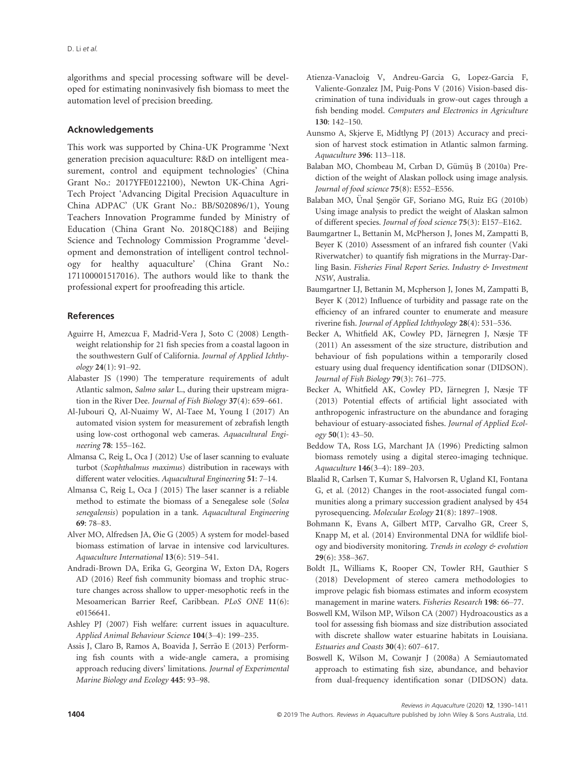algorithms and special processing software will be developed for estimating noninvasively fish biomass to meet the automation level of precision breeding.

# Acknowledgements

This work was supported by China-UK Programme 'Next generation precision aquaculture: R&D on intelligent measurement, control and equipment technologies' (China Grant No.: 2017YFE0122100), Newton UK-China Agri-Tech Project 'Advancing Digital Precision Aquaculture in China ADPAC' (UK Grant No.: BB/S020896/1), Young Teachers Innovation Programme funded by Ministry of Education (China Grant No. 2018QC188) and Beijing Science and Technology Commission Programme 'development and demonstration of intelligent control technology for healthy aquaculture' (China Grant No.: 171100001517016). The authors would like to thank the professional expert for proofreading this article.

## References

- Aguirre H, Amezcua F, Madrid-Vera J, Soto C (2008) Lengthweight relationship for 21 fish species from a coastal lagoon in the southwestern Gulf of California. Journal of Applied Ichthyology 24(1): 91–92.
- Alabaster JS (1990) The temperature requirements of adult Atlantic salmon, Salmo salar L., during their upstream migration in the River Dee. Journal of Fish Biology 37(4): 659–661.
- Al-Jubouri Q, Al-Nuaimy W, Al-Taee M, Young I (2017) An automated vision system for measurement of zebrafish length using low-cost orthogonal web cameras. Aquacultural Engineering 78: 155–162.
- Almansa C, Reig L, Oca J (2012) Use of laser scanning to evaluate turbot (Scophthalmus maximus) distribution in raceways with different water velocities. Aquacultural Engineering 51: 7–14.
- Almansa C, Reig L, Oca J (2015) The laser scanner is a reliable method to estimate the biomass of a Senegalese sole (Solea senegalensis) population in a tank. Aquacultural Engineering 69: 78–83.
- Alver MO, Alfredsen JA, Øie G (2005) A system for model-based biomass estimation of larvae in intensive cod larvicultures. Aquaculture International 13(6): 519–541.
- Andradi-Brown DA, Erika G, Georgina W, Exton DA, Rogers AD (2016) Reef fish community biomass and trophic structure changes across shallow to upper-mesophotic reefs in the Mesoamerican Barrier Reef, Caribbean. PLoS ONE 11(6): e0156641.
- Ashley PJ (2007) Fish welfare: current issues in aquaculture. Applied Animal Behaviour Science 104(3–4): 199–235.
- Assis J, Claro B, Ramos A, Boavida J, Serrão E (2013) Performing fish counts with a wide-angle camera, a promising approach reducing divers' limitations. Journal of Experimental Marine Biology and Ecology 445: 93–98.
- Atienza-Vanacloig V, Andreu-Garcia G, Lopez-Garcia F, Valiente-Gonzalez JM, Puig-Pons V (2016) Vision-based discrimination of tuna individuals in grow-out cages through a fish bending model. Computers and Electronics in Agriculture 130: 142–150.
- Aunsmo A, Skjerve E, Midtlyng PJ (2013) Accuracy and precision of harvest stock estimation in Atlantic salmon farming. Aquaculture 396: 113–118.
- Balaban MO, Chombeau M, Cırban D, Gümüş B (2010a) Prediction of the weight of Alaskan pollock using image analysis. Journal of food science 75(8): E552–E556.
- Balaban MO, Ünal Şengör GF, Soriano MG, Ruiz EG (2010b) Using image analysis to predict the weight of Alaskan salmon of different species. Journal of food science 75(3): E157–E162.
- Baumgartner L, Bettanin M, McPherson J, Jones M, Zampatti B, Beyer K (2010) Assessment of an infrared fish counter (Vaki Riverwatcher) to quantify fish migrations in the Murray-Darling Basin. Fisheries Final Report Series. Industry & Investment NSW, Australia.
- Baumgartner LJ, Bettanin M, Mcpherson J, Jones M, Zampatti B, Beyer K (2012) Influence of turbidity and passage rate on the efficiency of an infrared counter to enumerate and measure riverine fish. Journal of Applied Ichthyology 28(4): 531–536.
- Becker A, Whitfield AK, Cowley PD, Järnegren J, Næsje TF (2011) An assessment of the size structure, distribution and behaviour of fish populations within a temporarily closed estuary using dual frequency identification sonar (DIDSON). Journal of Fish Biology 79(3): 761–775.
- Becker A, Whitfield AK, Cowley PD, Järnegren J, Næsje TF (2013) Potential effects of artificial light associated with anthropogenic infrastructure on the abundance and foraging behaviour of estuary-associated fishes. Journal of Applied Ecol $ogy 50(1): 43-50.$
- Beddow TA, Ross LG, Marchant JA (1996) Predicting salmon biomass remotely using a digital stereo-imaging technique. Aquaculture 146(3–4): 189–203.
- Blaalid R, Carlsen T, Kumar S, Halvorsen R, Ugland KI, Fontana G, et al. (2012) Changes in the root-associated fungal communities along a primary succession gradient analysed by 454 pyrosequencing. Molecular Ecology 21(8): 1897–1908.
- Bohmann K, Evans A, Gilbert MTP, Carvalho GR, Creer S, Knapp M, et al. (2014) Environmental DNA for wildlife biology and biodiversity monitoring. Trends in ecology & evolution 29(6): 358–367.
- Boldt JL, Williams K, Rooper CN, Towler RH, Gauthier S (2018) Development of stereo camera methodologies to improve pelagic fish biomass estimates and inform ecosystem management in marine waters. Fisheries Research 198: 66–77.
- Boswell KM, Wilson MP, Wilson CA (2007) Hydroacoustics as a tool for assessing fish biomass and size distribution associated with discrete shallow water estuarine habitats in Louisiana. Estuaries and Coasts 30(4): 607–617.
- Boswell K, Wilson M, Cowanjr J (2008a) A Semiautomated approach to estimating fish size, abundance, and behavior from dual-frequency identification sonar (DIDSON) data.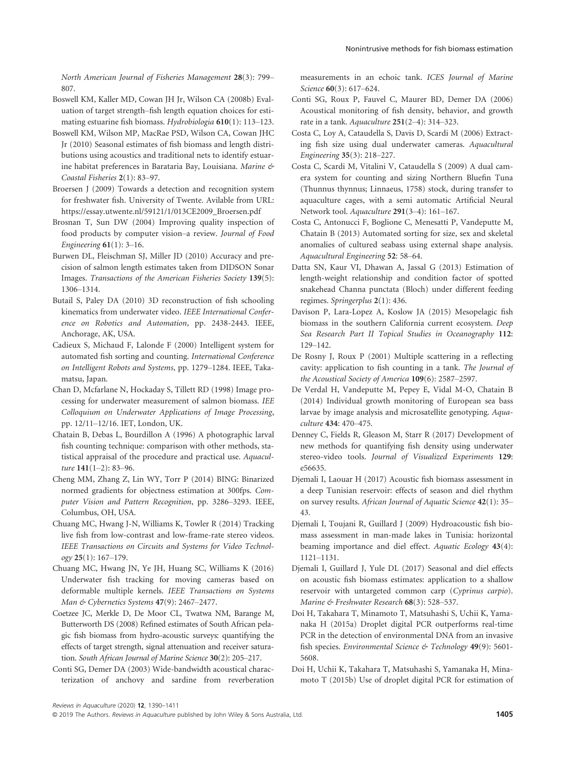North American Journal of Fisheries Management 28(3): 799– 807.

- Boswell KM, Kaller MD, Cowan JH Jr, Wilson CA (2008b) Evaluation of target strength–fish length equation choices for estimating estuarine fish biomass. Hydrobiologia 610(1): 113–123.
- Boswell KM, Wilson MP, MacRae PSD, Wilson CA, Cowan JHC Jr (2010) Seasonal estimates of fish biomass and length distributions using acoustics and traditional nets to identify estuarine habitat preferences in Barataria Bay, Louisiana. Marine & Coastal Fisheries 2(1): 83–97.
- Broersen J (2009) Towards a detection and recognition system for freshwater fish. University of Twente. Avilable from URL: [https://essay.utwente.nl/59121/1/013CE2009\\_Broersen.pdf](https://essay.utwente.nl/59121/1/013CE2009_Broersen.pdf)
- Brosnan T, Sun DW (2004) Improving quality inspection of food products by computer vision–a review. Journal of Food Engineering  $61(1)$ : 3-16.
- Burwen DL, Fleischman SJ, Miller JD (2010) Accuracy and precision of salmon length estimates taken from DIDSON Sonar Images. Transactions of the American Fisheries Society 139(5): 1306–1314.
- Butail S, Paley DA (2010) 3D reconstruction of fish schooling kinematics from underwater video. IEEE International Conference on Robotics and Automation, pp. 2438-2443. IEEE, Anchorage, AK, USA.
- Cadieux S, Michaud F, Lalonde F (2000) Intelligent system for automated fish sorting and counting. International Conference on Intelligent Robots and Systems, pp. 1279–1284. IEEE, Takamatsu, Japan.
- Chan D, Mcfarlane N, Hockaday S, Tillett RD (1998) Image processing for underwater measurement of salmon biomass. IEE Colloquium on Underwater Applications of Image Processing, pp. 12/11–12/16. IET, London, UK.
- Chatain B, Debas L, Bourdillon A (1996) A photographic larval fish counting technique: comparison with other methods, statistical appraisal of the procedure and practical use. Aquaculture 141(1–2): 83–96.
- Cheng MM, Zhang Z, Lin WY, Torr P (2014) BING: Binarized normed gradients for objectness estimation at 300fps. Computer Vision and Pattern Recognition, pp. 3286–3293. IEEE, Columbus, OH, USA.
- Chuang MC, Hwang J-N, Williams K, Towler R (2014) Tracking live fish from low-contrast and low-frame-rate stereo videos. IEEE Transactions on Circuits and Systems for Video Technology 25(1): 167–179.
- Chuang MC, Hwang JN, Ye JH, Huang SC, Williams K (2016) Underwater fish tracking for moving cameras based on deformable multiple kernels. IEEE Transactions on Systems Man & Cybernetics Systems  $47(9)$ : 2467-2477.
- Coetzee JC, Merkle D, De Moor CL, Twatwa NM, Barange M, Butterworth DS (2008) Refined estimates of South African pelagic fish biomass from hydro-acoustic surveys: quantifying the effects of target strength, signal attenuation and receiver saturation. South African Journal of Marine Science 30(2): 205–217.
- Conti SG, Demer DA (2003) Wide-bandwidth acoustical characterization of anchovy and sardine from reverberation

measurements in an echoic tank. ICES Journal of Marine Science **60**(3): 617–624.

- Conti SG, Roux P, Fauvel C, Maurer BD, Demer DA (2006) Acoustical monitoring of fish density, behavior, and growth rate in a tank. Aquaculture 251(2–4): 314–323.
- Costa C, Loy A, Cataudella S, Davis D, Scardi M (2006) Extracting fish size using dual underwater cameras. Aquacultural Engineering 35(3): 218–227.
- Costa C, Scardi M, Vitalini V, Cataudella S (2009) A dual camera system for counting and sizing Northern Bluefin Tuna (Thunnus thynnus; Linnaeus, 1758) stock, during transfer to aquaculture cages, with a semi automatic Artificial Neural Network tool. Aquaculture 291(3–4): 161–167.
- Costa C, Antonucci F, Boglione C, Menesatti P, Vandeputte M, Chatain B (2013) Automated sorting for size, sex and skeletal anomalies of cultured seabass using external shape analysis. Aquacultural Engineering 52: 58–64.
- Datta SN, Kaur VI, Dhawan A, Jassal G (2013) Estimation of length-weight relationship and condition factor of spotted snakehead Channa punctata (Bloch) under different feeding regimes. Springerplus 2(1): 436.
- Davison P, Lara-Lopez A, Koslow JA (2015) Mesopelagic fish biomass in the southern California current ecosystem. Deep Sea Research Part II Topical Studies in Oceanography 112: 129–142.
- De Rosny J, Roux P (2001) Multiple scattering in a reflecting cavity: application to fish counting in a tank. The Journal of the Acoustical Society of America 109(6): 2587–2597.
- De Verdal H, Vandeputte M, Pepey E, Vidal M-O, Chatain B (2014) Individual growth monitoring of European sea bass larvae by image analysis and microsatellite genotyping. Aquaculture 434: 470–475.
- Denney C, Fields R, Gleason M, Starr R (2017) Development of new methods for quantifying fish density using underwater stereo-video tools. Journal of Visualized Experiments 129: e56635.
- Djemali I, Laouar H (2017) Acoustic fish biomass assessment in a deep Tunisian reservoir: effects of season and diel rhythm on survey results. African Journal of Aquatic Science 42(1): 35– 43.
- Djemali I, Toujani R, Guillard J (2009) Hydroacoustic fish biomass assessment in man-made lakes in Tunisia: horizontal beaming importance and diel effect. Aquatic Ecology 43(4): 1121–1131.
- Djemali I, Guillard J, Yule DL (2017) Seasonal and diel effects on acoustic fish biomass estimates: application to a shallow reservoir with untargeted common carp (Cyprinus carpio). Marine & Freshwater Research 68(3): 528–537.
- Doi H, Takahara T, Minamoto T, Matsuhashi S, Uchii K, Yamanaka H (2015a) Droplet digital PCR outperforms real-time PCR in the detection of environmental DNA from an invasive fish species. Environmental Science & Technology 49(9): 5601-5608.
- Doi H, Uchii K, Takahara T, Matsuhashi S, Yamanaka H, Minamoto T (2015b) Use of droplet digital PCR for estimation of

Reviews in Aquaculture (2020) <sup>12</sup>, 1390–1411

<sup>©</sup> 2019 The Authors. Reviews in Aquaculture published by John Wiley & Sons Australia, Ltd. <sup>1405</sup>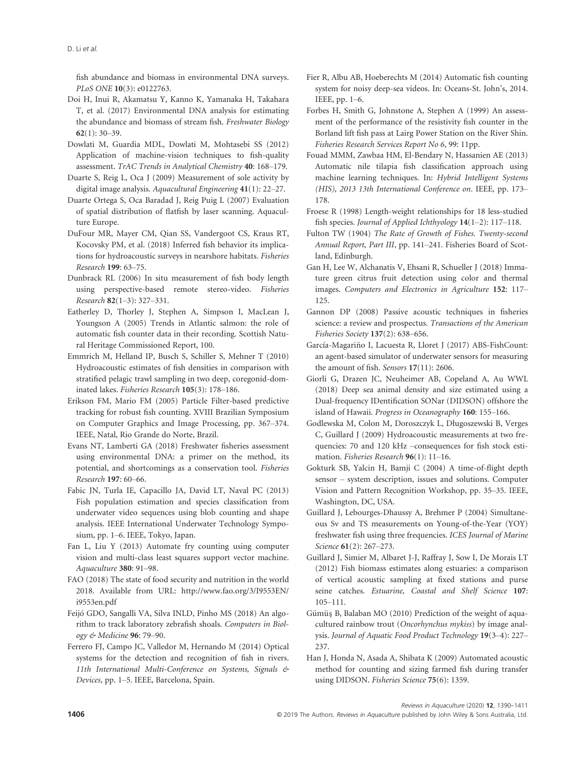fish abundance and biomass in environmental DNA surveys. PLoS ONE 10(3): e0122763.

- Doi H, Inui R, Akamatsu Y, Kanno K, Yamanaka H, Takahara T, et al. (2017) Environmental DNA analysis for estimating the abundance and biomass of stream fish. Freshwater Biology 62(1): 30–39.
- Dowlati M, Guardia MDL, Dowlati M, Mohtasebi SS (2012) Application of machine-vision techniques to fish-quality assessment. TrAC Trends in Analytical Chemistry 40: 168–179.
- Duarte S, Reig L, Oca J (2009) Measurement of sole activity by digital image analysis. Aquacultural Engineering 41(1): 22–27.
- Duarte Ortega S, Oca Baradad J, Reig Puig L (2007) Evaluation of spatial distribution of flatfish by laser scanning. Aquaculture Europe.
- DuFour MR, Mayer CM, Qian SS, Vandergoot CS, Kraus RT, Kocovsky PM, et al. (2018) Inferred fish behavior its implications for hydroacoustic surveys in nearshore habitats. Fisheries Research 199: 63–75.
- Dunbrack RL (2006) In situ measurement of fish body length using perspective-based remote stereo-video. Fisheries Research 82(1–3): 327–331.
- Eatherley D, Thorley J, Stephen A, Simpson I, MacLean J, Youngson A (2005) Trends in Atlantic salmon: the role of automatic fish counter data in their recording. Scottish Natural Heritage Commissioned Report, 100.
- Emmrich M, Helland IP, Busch S, Schiller S, Mehner T (2010) Hydroacoustic estimates of fish densities in comparison with stratified pelagic trawl sampling in two deep, coregonid-dominated lakes. Fisheries Research 105(3): 178–186.
- Erikson FM, Mario FM (2005) Particle Filter-based predictive tracking for robust fish counting. XVIII Brazilian Symposium on Computer Graphics and Image Processing, pp. 367–374. IEEE, Natal, Rio Grande do Norte, Brazil.
- Evans NT, Lamberti GA (2018) Freshwater fisheries assessment using environmental DNA: a primer on the method, its potential, and shortcomings as a conservation tool. Fisheries Research 197: 60–66.
- Fabic JN, Turla IE, Capacillo JA, David LT, Naval PC (2013) Fish population estimation and species classification from underwater video sequences using blob counting and shape analysis. IEEE International Underwater Technology Symposium, pp. 1–6. IEEE, Tokyo, Japan.
- Fan L, Liu Y (2013) Automate fry counting using computer vision and multi-class least squares support vector machine. Aquaculture 380: 91–98.
- FAO (2018) The state of food security and nutrition in the world 2018. Available from URL: [http://www.fao.org/3/I9553EN/](http://www.fao.org/3/I9553EN/i9553en.pdf) [i9553en.pdf](http://www.fao.org/3/I9553EN/i9553en.pdf)
- Feijo GDO, Sangalli VA, Silva INLD, Pinho MS (2018) An algo rithm to track laboratory zebrafish shoals. Computers in Biology & Medicine 96: 79–90.
- Ferrero FJ, Campo JC, Valledor M, Hernando M (2014) Optical systems for the detection and recognition of fish in rivers. 11th International Multi-Conference on Systems, Signals & Devices, pp. 1–5. IEEE, Barcelona, Spain.
- Fier R, Albu AB, Hoeberechts M (2014) Automatic fish counting system for noisy deep-sea videos. In: Oceans-St. John's, 2014. IEEE, pp. 1–6.
- Forbes H, Smith G, Johnstone A, Stephen A (1999) An assessment of the performance of the resistivity fish counter in the Borland lift fish pass at Lairg Power Station on the River Shin. Fisheries Research Services Report No 6, 99: 11pp.
- Fouad MMM, Zawbaa HM, El-Bendary N, Hassanien AE (2013) Automatic nile tilapia fish classification approach using machine learning techniques. In: Hybrid Intelligent Systems (HIS), 2013 13th International Conference on. IEEE, pp. 173– 178.
- Froese R (1998) Length-weight relationships for 18 less-studied fish species. Journal of Applied Ichthyology 14(1–2): 117–118.
- Fulton TW (1904) The Rate of Growth of Fishes. Twenty-second Annual Report, Part III, pp. 141–241. Fisheries Board of Scotland, Edinburgh.
- Gan H, Lee W, Alchanatis V, Ehsani R, Schueller J (2018) Immature green citrus fruit detection using color and thermal images. Computers and Electronics in Agriculture 152: 117– 125.
- Gannon DP (2008) Passive acoustic techniques in fisheries science: a review and prospectus. Transactions of the American Fisheries Society 137(2): 638–656.
- García-Magariño I, Lacuesta R, Lloret J (2017) ABS-FishCount: an agent-based simulator of underwater sensors for measuring the amount of fish. Sensors 17(11): 2606.
- Giorli G, Drazen JC, Neuheimer AB, Copeland A, Au WWL (2018) Deep sea animal density and size estimated using a Dual-frequency IDentification SONar (DIDSON) offshore the island of Hawaii. Progress in Oceanography 160: 155–166.
- Godlewska M, Colon M, Doroszczyk L, Długoszewski B, Verges C, Guillard J (2009) Hydroacoustic measurements at two frequencies: 70 and 120 kHz –consequences for fish stock estimation. Fisheries Research 96(1): 11–16.
- Gokturk SB, Yalcin H, Bamji C (2004) A time-of-flight depth sensor – system description, issues and solutions. Computer Vision and Pattern Recognition Workshop, pp. 35–35. IEEE, Washington, DC, USA.
- Guillard J, Lebourges-Dhaussy A, Brehmer P (2004) Simultaneous Sv and TS measurements on Young-of-the-Year (YOY) freshwater fish using three frequencies. ICES Journal of Marine Science 61(2): 267–273.
- Guillard J, Simier M, Albaret J-J, Raffray J, Sow I, De Morais LT (2012) Fish biomass estimates along estuaries: a comparison of vertical acoustic sampling at fixed stations and purse seine catches. Estuarine, Coastal and Shelf Science 107: 105–111.
- Gümüş B, Balaban MO (2010) Prediction of the weight of aquacultured rainbow trout (Oncorhynchus mykiss) by image analysis. Journal of Aquatic Food Product Technology 19(3–4): 227– 237.
- Han J, Honda N, Asada A, Shibata K (2009) Automated acoustic method for counting and sizing farmed fish during transfer using DIDSON. Fisheries Science 75(6): 1359.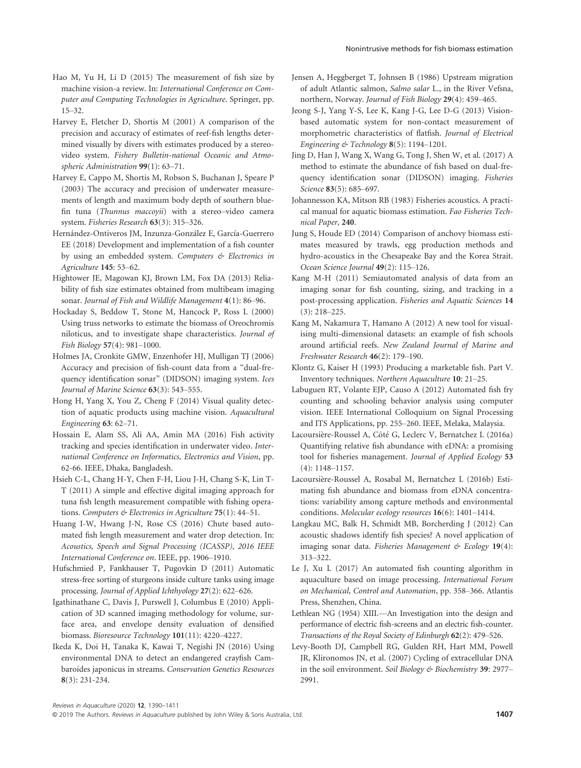- Hao M, Yu H, Li D (2015) The measurement of fish size by machine vision-a review. In: International Conference on Computer and Computing Technologies in Agriculture. Springer, pp. 15–32.
- Harvey E, Fletcher D, Shortis M (2001) A comparison of the precision and accuracy of estimates of reef-fish lengths determined visually by divers with estimates produced by a stereovideo system. Fishery Bulletin-national Oceanic and Atmospheric Administration 99(1): 63–71.
- Harvey E, Cappo M, Shortis M, Robson S, Buchanan J, Speare P (2003) The accuracy and precision of underwater measurements of length and maximum body depth of southern bluefin tuna (Thunnus maccoyii) with a stereo-video camera system. Fisheries Research 63(3): 315–326.
- Hernández-Ontiveros JM, Inzunza-González E, García-Guerrero EE (2018) Development and implementation of a fish counter by using an embedded system. Computers & Electronics in Agriculture 145: 53–62.
- Hightower JE, Magowan KJ, Brown LM, Fox DA (2013) Reliability of fish size estimates obtained from multibeam imaging sonar. Journal of Fish and Wildlife Management 4(1): 86–96.
- Hockaday S, Beddow T, Stone M, Hancock P, Ross L (2000) Using truss networks to estimate the biomass of Oreochromis niloticus, and to investigate shape characteristics. Journal of Fish Biology 57(4): 981–1000.
- Holmes JA, Cronkite GMW, Enzenhofer HJ, Mulligan TJ (2006) Accuracy and precision of fish-count data from a "dual-frequency identification sonar" (DIDSON) imaging system. Ices Journal of Marine Science 63(3): 543–555.
- Hong H, Yang X, You Z, Cheng F (2014) Visual quality detection of aquatic products using machine vision. Aquacultural Engineering 63: 62–71.
- Hossain E, Alam SS, Ali AA, Amin MA (2016) Fish activity tracking and species identification in underwater video. International Conference on Informatics, Electronics and Vision, pp. 62-66. IEEE, Dhaka, Bangladesh.
- Hsieh C-L, Chang H-Y, Chen F-H, Liou J-H, Chang S-K, Lin T-T (2011) A simple and effective digital imaging approach for tuna fish length measurement compatible with fishing operations. Computers & Electronics in Agriculture 75(1): 44–51.
- Huang I-W, Hwang J-N, Rose CS (2016) Chute based automated fish length measurement and water drop detection. In: Acoustics, Speech and Signal Processing (ICASSP), 2016 IEEE International Conference on. IEEE, pp. 1906–1910.
- Hufschmied P, Fankhauser T, Pugovkin D (2011) Automatic stress-free sorting of sturgeons inside culture tanks using image processing. Journal of Applied Ichthyology 27(2): 622–626.
- Igathinathane C, Davis J, Purswell J, Columbus E (2010) Application of 3D scanned imaging methodology for volume, surface area, and envelope density evaluation of densified biomass. Bioresource Technology 101(11): 4220–4227.
- Ikeda K, Doi H, Tanaka K, Kawai T, Negishi JN (2016) Using environmental DNA to detect an endangered crayfish Cambaroides japonicus in streams. Conservation Genetics Resources 8(3): 231-234.
- Jensen A, Heggberget T, Johnsen B (1986) Upstream migration of adult Atlantic salmon, Salmo salar L., in the River Vefsna, northern, Norway. Journal of Fish Biology 29(4): 459–465.
- Jeong S-J, Yang Y-S, Lee K, Kang J-G, Lee D-G (2013) Visionbased automatic system for non-contact measurement of morphometric characteristics of flatfish. Journal of Electrical Engineering & Technology 8(5): 1194–1201.
- Jing D, Han J, Wang X, Wang G, Tong J, Shen W, et al. (2017) A method to estimate the abundance of fish based on dual-frequency identification sonar (DIDSON) imaging. Fisheries Science 83(5): 685–697.
- Johannesson KA, Mitson RB (1983) Fisheries acoustics. A practical manual for aquatic biomass estimation. Fao Fisheries Technical Paper, 240.
- Jung S, Houde ED (2014) Comparison of anchovy biomass estimates measured by trawls, egg production methods and hydro-acoustics in the Chesapeake Bay and the Korea Strait. Ocean Science Journal 49(2): 115–126.
- Kang M-H (2011) Semiautomated analysis of data from an imaging sonar for fish counting, sizing, and tracking in a post-processing application. Fisheries and Aquatic Sciences 14 (3): 218–225.
- Kang M, Nakamura T, Hamano A (2012) A new tool for visualising multi-dimensional datasets: an example of fish schools around artificial reefs. New Zealand Journal of Marine and Freshwater Research 46(2): 179–190.
- Klontz G, Kaiser H (1993) Producing a marketable fish. Part V. Inventory techniques. Northern Aquaculture 10: 21–25.
- Labuguen RT, Volante EJP, Causo A (2012) Automated fish fry counting and schooling behavior analysis using computer vision. IEEE International Colloquium on Signal Processing and ITS Applications, pp. 255–260. IEEE, Melaka, Malaysia.
- Lacoursière-Roussel A, Côté G, Leclerc V, Bernatchez L (2016a) Quantifying relative fish abundance with eDNA: a promising tool for fisheries management. Journal of Applied Ecology 53 (4): 1148–1157.
- Lacoursiere-Roussel A, Rosabal M, Bernatchez L (2016b) Estimating fish abundance and biomass from eDNA concentrations: variability among capture methods and environmental conditions. Molecular ecology resources 16(6): 1401–1414.
- Langkau MC, Balk H, Schmidt MB, Borcherding J (2012) Can acoustic shadows identify fish species? A novel application of imaging sonar data. Fisheries Management  $\mathfrak{G}$  Ecology 19(4): 313–322.
- Le J, Xu L (2017) An automated fish counting algorithm in aquaculture based on image processing. International Forum on Mechanical, Control and Automation, pp. 358–366. Atlantis Press, Shenzhen, China.
- Lethlean NG (1954) XIII.—An Investigation into the design and performance of electric fish-screens and an electric fish-counter. Transactions of the Royal Society of Edinburgh 62(2): 479–526.
- Levy-Booth DJ, Campbell RG, Gulden RH, Hart MM, Powell JR, Klironomos JN, et al. (2007) Cycling of extracellular DNA in the soil environment. Soil Biology & Biochemistry 39: 2977– 2991.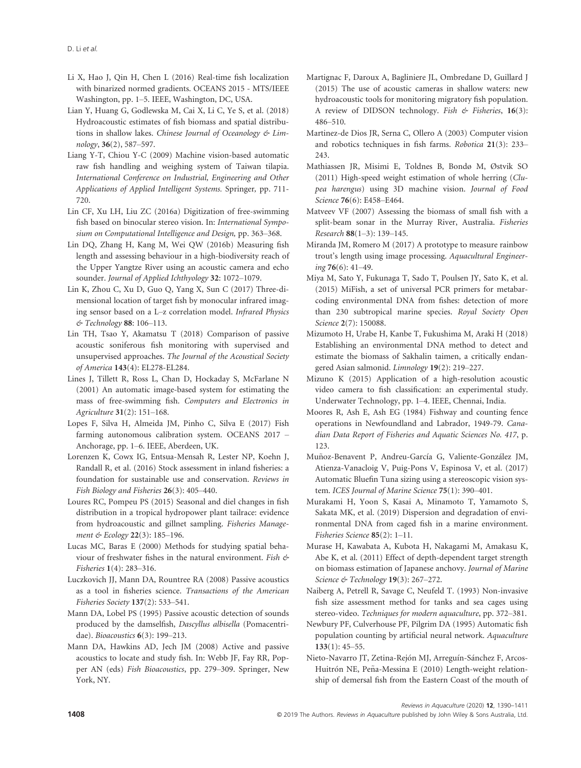- Li X, Hao J, Qin H, Chen L (2016) Real-time fish localization with binarized normed gradients. OCEANS 2015 - MTS/IEEE Washington, pp. 1–5. IEEE, Washington, DC, USA.
- Lian Y, Huang G, Godlewska M, Cai X, Li C, Ye S, et al. (2018) Hydroacoustic estimates of fish biomass and spatial distributions in shallow lakes. Chinese Journal of Oceanology & Limnology, 36(2), 587–597.
- Liang Y-T, Chiou Y-C (2009) Machine vision-based automatic raw fish handling and weighing system of Taiwan tilapia. International Conference on Industrial, Engineering and Other Applications of Applied Intelligent Systems. Springer, pp. 711- 720.
- Lin CF, Xu LH, Liu ZC (2016a) Digitization of free-swimming fish based on binocular stereo vision. In: International Symposium on Computational Intelligence and Design, pp. 363–368.
- Lin DQ, Zhang H, Kang M, Wei QW (2016b) Measuring fish length and assessing behaviour in a high-biodiversity reach of the Upper Yangtze River using an acoustic camera and echo sounder. Journal of Applied Ichthyology 32: 1072–1079.
- Lin K, Zhou C, Xu D, Guo Q, Yang X, Sun C (2017) Three-dimensional location of target fish by monocular infrared imaging sensor based on a L–z correlation model. Infrared Physics & Technology 88: 106–113.
- Lin TH, Tsao Y, Akamatsu T (2018) Comparison of passive acoustic soniferous fish monitoring with supervised and unsupervised approaches. The Journal of the Acoustical Society of America 143(4): EL278-EL284.
- Lines J, Tillett R, Ross L, Chan D, Hockaday S, McFarlane N (2001) An automatic image-based system for estimating the mass of free-swimming fish. Computers and Electronics in Agriculture 31(2): 151–168.
- Lopes F, Silva H, Almeida JM, Pinho C, Silva E (2017) Fish farming autonomous calibration system. OCEANS 2017 – Anchorage, pp. 1–6. IEEE, Aberdeen, UK.
- Lorenzen K, Cowx IG, Entsua-Mensah R, Lester NP, Koehn J, Randall R, et al. (2016) Stock assessment in inland fisheries: a foundation for sustainable use and conservation. Reviews in Fish Biology and Fisheries 26(3): 405–440.
- Loures RC, Pompeu PS (2015) Seasonal and diel changes in fish distribution in a tropical hydropower plant tailrace: evidence from hydroacoustic and gillnet sampling. Fisheries Management & Ecology 22(3): 185–196.
- Lucas MC, Baras E (2000) Methods for studying spatial behaviour of freshwater fishes in the natural environment. Fish & Fisheries 1(4): 283–316.
- Luczkovich JJ, Mann DA, Rountree RA (2008) Passive acoustics as a tool in fisheries science. Transactions of the American Fisheries Society 137(2): 533–541.
- Mann DA, Lobel PS (1995) Passive acoustic detection of sounds produced by the damselfish, Dascyllus albisella (Pomacentridae). Bioacoustics 6(3): 199–213.
- Mann DA, Hawkins AD, Jech JM (2008) Active and passive acoustics to locate and study fish. In: Webb JF, Fay RR, Popper AN (eds) Fish Bioacoustics, pp. 279–309. Springer, New York, NY.
- Martignac F, Daroux A, Bagliniere JL, Ombredane D, Guillard J (2015) The use of acoustic cameras in shallow waters: new hydroacoustic tools for monitoring migratory fish population. A review of DIDSON technology. Fish & Fisheries, 16(3): 486–510.
- Martinez-de Dios JR, Serna C, Ollero A (2003) Computer vision and robotics techniques in fish farms. Robotica 21(3): 233– 243.
- Mathiassen JR, Misimi E, Toldnes B, Bondø M, Østvik SO (2011) High-speed weight estimation of whole herring (Clupea harengus) using 3D machine vision. Journal of Food Science 76(6): E458–E464.
- Matveev VF (2007) Assessing the biomass of small fish with a split-beam sonar in the Murray River, Australia. Fisheries Research 88(1–3): 139–145.
- Miranda JM, Romero M (2017) A prototype to measure rainbow trout's length using image processing. Aquacultural Engineering 76(6): 41–49.
- Miya M, Sato Y, Fukunaga T, Sado T, Poulsen JY, Sato K, et al. (2015) MiFish, a set of universal PCR primers for metabarcoding environmental DNA from fishes: detection of more than 230 subtropical marine species. Royal Society Open Science 2(7): 150088.
- Mizumoto H, Urabe H, Kanbe T, Fukushima M, Araki H (2018) Establishing an environmental DNA method to detect and estimate the biomass of Sakhalin taimen, a critically endangered Asian salmonid. Limnology 19(2): 219–227.
- Mizuno K (2015) Application of a high-resolution acoustic video camera to fish classification: an experimental study. Underwater Technology, pp. 1–4. IEEE, Chennai, India.
- Moores R, Ash E, Ash EG (1984) Fishway and counting fence operations in Newfoundland and Labrador, 1949-79. Canadian Data Report of Fisheries and Aquatic Sciences No. 417, p. 123.
- Muñoz-Benavent P, Andreu-García G, Valiente-González JM, Atienza-Vanacloig V, Puig-Pons V, Espinosa V, et al. (2017) Automatic Bluefin Tuna sizing using a stereoscopic vision system. ICES Journal of Marine Science 75(1): 390–401.
- Murakami H, Yoon S, Kasai A, Minamoto T, Yamamoto S, Sakata MK, et al. (2019) Dispersion and degradation of environmental DNA from caged fish in a marine environment. Fisheries Science 85(2): 1–11.
- Murase H, Kawabata A, Kubota H, Nakagami M, Amakasu K, Abe K, et al. (2011) Effect of depth-dependent target strength on biomass estimation of Japanese anchovy. Journal of Marine Science & Technology 19(3): 267–272.
- Naiberg A, Petrell R, Savage C, Neufeld T. (1993) Non-invasive fish size assessment method for tanks and sea cages using stereo-video. Techniques for modern aquaculture, pp. 372–381.
- Newbury PF, Culverhouse PF, Pilgrim DA (1995) Automatic fish population counting by artificial neural network. Aquaculture 133(1): 45–55.
- Nieto-Navarro JT, Zetina-Rejón MJ, Arreguín-Sánchez F, Arcos-Huitrón NE, Peña-Messina E (2010) Length-weight relationship of demersal fish from the Eastern Coast of the mouth of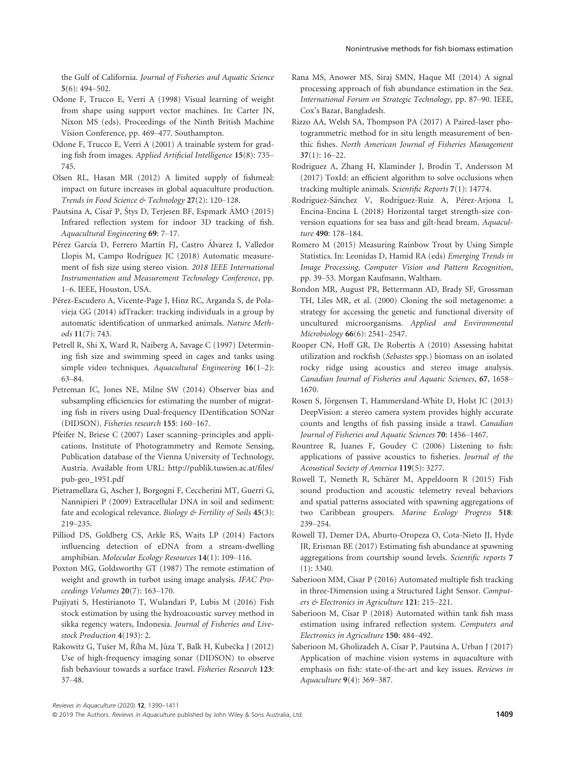the Gulf of California. Journal of Fisheries and Aquatic Science 5(6): 494–502.

- Odone F, Trucco E, Verri A (1998) Visual learning of weight from shape using support vector machines. In: Carter JN, Nixon MS (eds). Proceedings of the Ninth British Machine Vision Conference, pp. 469–477. Southampton.
- Odone F, Trucco E, Verri A (2001) A trainable system for grading fish from images. Applied Artificial Intelligence 15(8): 735– 745.
- Olsen RL, Hasan MR (2012) A limited supply of fishmeal: impact on future increases in global aquaculture production. Trends in Food Science & Technology 27(2): 120–128.
- Pautsina A, Císař P, Štys D, Terjesen BF, Espmark ÅMO (2015) Infrared reflection system for indoor 3D tracking of fish. Aquacultural Engineering 69: 7–17.
- Pérez García D, Ferrero Martín FJ, Castro Álvarez I, Valledor Llopis M, Campo Rodríguez JC (2018) Automatic measurement of fish size using stereo vision. 2018 IEEE International Instrumentation and Measurement Technology Conference, pp. 1–6. IEEE, Houston, USA.
- Perez-Escudero A, Vicente-Page J, Hinz RC, Arganda S, de Polavieja GG (2014) idTracker: tracking individuals in a group by automatic identification of unmarked animals. Nature Methods 11(7): 743.
- Petrell R, Shi X, Ward R, Naiberg A, Savage C (1997) Determining fish size and swimming speed in cages and tanks using simple video techniques. Aquacultural Engineering  $16(1-2)$ : 63–84.
- Petreman IC, Jones NE, Milne SW (2014) Observer bias and subsampling efficiencies for estimating the number of migrating fish in rivers using Dual-frequency IDentification SONar (DIDSON). Fisheries research 155: 160–167.
- Pfeifer N, Briese C (2007) Laser scanning–principles and applications. Institute of Photogrammetry and Remote Sensing, Publication database of the Vienna University of Technology, Austria. Available from URL: [http://publik.tuwien.ac.at/files/](http://publik.tuwien.ac.at/files/pub-geo_1951.pdf) [pub-geo\\_1951.pdf](http://publik.tuwien.ac.at/files/pub-geo_1951.pdf)
- Pietramellara G, Ascher J, Borgogni F, Ceccherini MT, Guerri G, Nannipieri P (2009) Extracellular DNA in soil and sediment: fate and ecological relevance. Biology & Fertility of Soils 45(3): 219–235.
- Pilliod DS, Goldberg CS, Arkle RS, Waits LP (2014) Factors influencing detection of eDNA from a stream-dwelling amphibian. Molecular Ecology Resources 14(1): 109–116.
- Poxton MG, Goldsworthy GT (1987) The remote estimation of weight and growth in turbot using image analysis. IFAC Proceedings Volumes 20(7): 163–170.
- Pujiyati S, Hestirianoto T, Wulandari P, Lubis M (2016) Fish stock estimation by using the hydroacoustic survey method in sikka regency waters, Indonesia. Journal of Fisheries and Livestock Production 4(193): 2.
- Rakowitz G, Tušer M, Říha M, Jůza T, Balk H, Kubečka J (2012) Use of high-frequency imaging sonar (DIDSON) to observe fish behaviour towards a surface trawl. Fisheries Research 123: 37–48.
- Rana MS, Anower MS, Siraj SMN, Haque MI (2014) A signal processing approach of fish abundance estimation in the Sea. International Forum on Strategic Technology, pp. 87–90. IEEE, Cox's Bazar, Bangladesh.
- Rizzo AA, Welsh SA, Thompson PA (2017) A Paired-laser photogrammetric method for in situ length measurement of benthic fishes. North American Journal of Fisheries Management  $37(1): 16-22.$
- Rodriguez A, Zhang H, Klaminder J, Brodin T, Andersson M (2017) ToxId: an efficient algorithm to solve occlusions when tracking multiple animals. Scientific Reports 7(1): 14774.
- Rodríguez-Sánchez V, Rodríguez-Ruiz A, Pérez-Arjona I, Encina-Encina L (2018) Horizontal target strength-size conversion equations for sea bass and gilt-head bream. Aquaculture 490: 178–184.
- Romero M (2015) Measuring Rainbow Trout by Using Simple Statistics. In: Leonidas D, Hamid RA (eds) Emerging Trends in Image Processing, Computer Vision and Pattern Recognition, pp. 39–53. Morgan Kaufmann, Waltham.
- Rondon MR, August PR, Bettermann AD, Brady SF, Grossman TH, Liles MR, et al. (2000) Cloning the soil metagenome: a strategy for accessing the genetic and functional diversity of uncultured microorganisms. Applied and Environmental Microbiology 66(6): 2541–2547.
- Rooper CN, Hoff GR, De Robertis A (2010) Assessing habitat utilization and rockfish (Sebastes spp.) biomass on an isolated rocky ridge using acoustics and stereo image analysis. Canadian Journal of Fisheries and Aquatic Sciences, 67, 1658– 1670.
- Rosen S, Jörgensen T, Hammersland-White D, Holst JC (2013) DeepVision: a stereo camera system provides highly accurate counts and lengths of fish passing inside a trawl. Canadian Journal of Fisheries and Aquatic Sciences 70: 1456–1467.
- Rountree R, Juanes F, Goudey C (2006) Listening to fish: applications of passive acoustics to fisheries. Journal of the Acoustical Society of America 119(5): 3277.
- Rowell T, Nemeth R, Schärer M, Appeldoorn R (2015) Fish sound production and acoustic telemetry reveal behaviors and spatial patterns associated with spawning aggregations of two Caribbean groupers. Marine Ecology Progress 518: 239–254.
- Rowell TJ, Demer DA, Aburto-Oropeza O, Cota-Nieto JJ, Hyde JR, Erisman BE (2017) Estimating fish abundance at spawning aggregations from courtship sound levels. Scientific reports 7  $(1)$ : 3340.
- Saberioon MM, Cisar P (2016) Automated multiple fish tracking in three-Dimension using a Structured Light Sensor. Computers & Electronics in Agriculture 121: 215–221.
- Saberioon M, Cisar P (2018) Automated within tank fish mass estimation using infrared reflection system. Computers and Electronics in Agriculture 150: 484–492.
- Saberioon M, Gholizadeh A, Cisar P, Pautsina A, Urban J (2017) Application of machine vision systems in aquaculture with emphasis on fish: state-of-the-art and key issues. Reviews in Aquaculture 9(4): 369–387.

Reviews in Aquaculture (2020) <sup>12</sup>, 1390–1411

© 2019 The Authors. Reviews in Aquaculture published by John Wiley & Sons Australia, Ltd. <sup>1409</sup>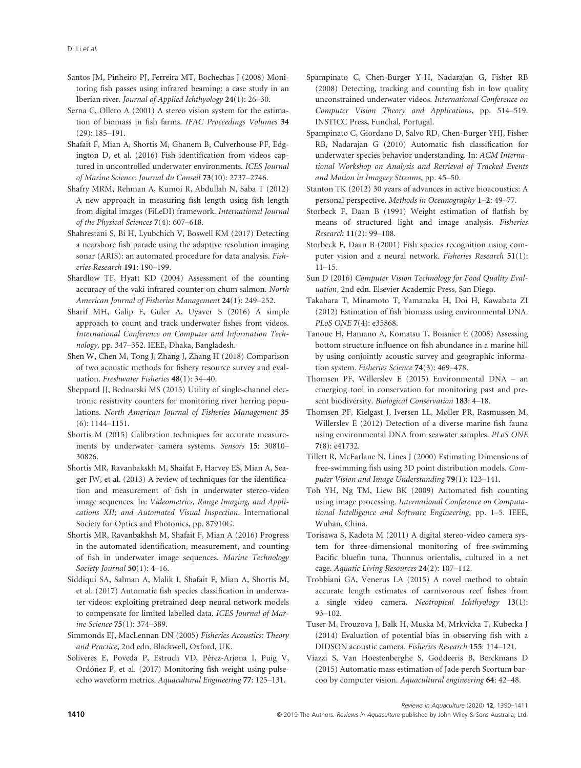- Santos JM, Pinheiro PJ, Ferreira MT, Bochechas J (2008) Monitoring fish passes using infrared beaming: a case study in an Iberian river. Journal of Applied Ichthyology 24(1): 26–30.
- Serna C, Ollero A (2001) A stereo vision system for the estimation of biomass in fish farms. IFAC Proceedings Volumes 34 (29): 185–191.
- Shafait F, Mian A, Shortis M, Ghanem B, Culverhouse PF, Edgington D, et al. (2016) Fish identification from videos captured in uncontrolled underwater environments. ICES Journal of Marine Science: Journal du Conseil 73(10): 2737–2746.
- Shafry MRM, Rehman A, Kumoi R, Abdullah N, Saba T (2012) A new approach in measuring fish length using fish length from digital images (FiLeDI) framework. International Journal of the Physical Sciences 7(4): 607–618.
- Shahrestani S, Bi H, Lyubchich V, Boswell KM (2017) Detecting a nearshore fish parade using the adaptive resolution imaging sonar (ARIS): an automated procedure for data analysis. Fisheries Research 191: 190–199.
- Shardlow TF, Hyatt KD (2004) Assessment of the counting accuracy of the vaki infrared counter on chum salmon. North American Journal of Fisheries Management 24(1): 249–252.
- Sharif MH, Galip F, Guler A, Uyaver S (2016) A simple approach to count and track underwater fishes from videos. International Conference on Computer and Information Technology, pp. 347–352. IEEE, Dhaka, Bangladesh.
- Shen W, Chen M, Tong J, Zhang J, Zhang H (2018) Comparison of two acoustic methods for fishery resource survey and evaluation. Freshwater Fisheries 48(1): 34–40.
- Sheppard JJ, Bednarski MS (2015) Utility of single-channel electronic resistivity counters for monitoring river herring populations. North American Journal of Fisheries Management 35 (6): 1144–1151.
- Shortis M (2015) Calibration techniques for accurate measurements by underwater camera systems. Sensors 15: 30810– 30826.
- Shortis MR, Ravanbakskh M, Shaifat F, Harvey ES, Mian A, Seager JW, et al. (2013) A review of techniques for the identification and measurement of fish in underwater stereo-video image sequences. In: Videometrics, Range Imaging, and Applications XII; and Automated Visual Inspection. International Society for Optics and Photonics, pp. 87910G.
- Shortis MR, Ravanbakhsh M, Shafait F, Mian A (2016) Progress in the automated identification, measurement, and counting of fish in underwater image sequences. Marine Technology Society Journal 50(1): 4-16.
- Siddiqui SA, Salman A, Malik I, Shafait F, Mian A, Shortis M, et al. (2017) Automatic fish species classification in underwater videos: exploiting pretrained deep neural network models to compensate for limited labelled data. ICES Journal of Marine Science 75(1): 374–389.
- Simmonds EJ, MacLennan DN (2005) Fisheries Acoustics: Theory and Practice, 2nd edn. Blackwell, Oxford, UK.
- Soliveres E, Poveda P, Estruch VD, Pérez-Arjona I, Puig V, Ordóñez P, et al. (2017) Monitoring fish weight using pulseecho waveform metrics. Aquacultural Engineering 77: 125–131.
- Spampinato C, Chen-Burger Y-H, Nadarajan G, Fisher RB (2008) Detecting, tracking and counting fish in low quality unconstrained underwater videos. International Conference on Computer Vision Theory and Applications, pp. 514–519. INSTICC Press, Funchal, Portugal.
- Spampinato C, Giordano D, Salvo RD, Chen-Burger YHJ, Fisher RB, Nadarajan G (2010) Automatic fish classification for underwater species behavior understanding. In: ACM International Workshop on Analysis and Retrieval of Tracked Events and Motion in Imagery Streams, pp. 45–50.
- Stanton TK (2012) 30 years of advances in active bioacoustics: A personal perspective. Methods in Oceanography 1–2: 49–77.
- Storbeck F, Daan B (1991) Weight estimation of flatfish by means of structured light and image analysis. Fisheries Research 11(2): 99–108.
- Storbeck F, Daan B (2001) Fish species recognition using computer vision and a neural network. Fisheries Research 51(1): 11–15.
- Sun D (2016) Computer Vision Technology for Food Quality Evaluation, 2nd edn. Elsevier Academic Press, San Diego.
- Takahara T, Minamoto T, Yamanaka H, Doi H, Kawabata ZI (2012) Estimation of fish biomass using environmental DNA. PLoS ONE 7(4): e35868.
- Tanoue H, Hamano A, Komatsu T, Boisnier E (2008) Assessing bottom structure influence on fish abundance in a marine hill by using conjointly acoustic survey and geographic information system. Fisheries Science 74(3): 469–478.
- Thomsen PF, Willerslev E (2015) Environmental DNA an emerging tool in conservation for monitoring past and present biodiversity. Biological Conservation 183: 4–18.
- Thomsen PF, Kielgast J, Iversen LL, Møller PR, Rasmussen M, Willerslev E (2012) Detection of a diverse marine fish fauna using environmental DNA from seawater samples. PLoS ONE 7(8): e41732.
- Tillett R, McFarlane N, Lines J (2000) Estimating Dimensions of free-swimming fish using 3D point distribution models. Computer Vision and Image Understanding 79(1): 123–141.
- Toh YH, Ng TM, Liew BK (2009) Automated fish counting using image processing. International Conference on Computational Intelligence and Software Engineering, pp. 1–5. IEEE, Wuhan, China.
- Torisawa S, Kadota M (2011) A digital stereo-video camera system for three-dimensional monitoring of free-swimming Pacific bluefin tuna, Thunnus orientalis, cultured in a net cage. Aquatic Living Resources 24(2): 107–112.
- Trobbiani GA, Venerus LA (2015) A novel method to obtain accurate length estimates of carnivorous reef fishes from a single video camera. Neotropical Ichthyology 13(1): 93–102.
- Tuser M, Frouzova J, Balk H, Muska M, Mrkvicka T, Kubecka J (2014) Evaluation of potential bias in observing fish with a DIDSON acoustic camera. Fisheries Research 155: 114–121.
- Viazzi S, Van Hoestenberghe S, Goddeeris B, Berckmans D (2015) Automatic mass estimation of Jade perch Scortum barcoo by computer vision. Aquacultural engineering 64: 42–48.